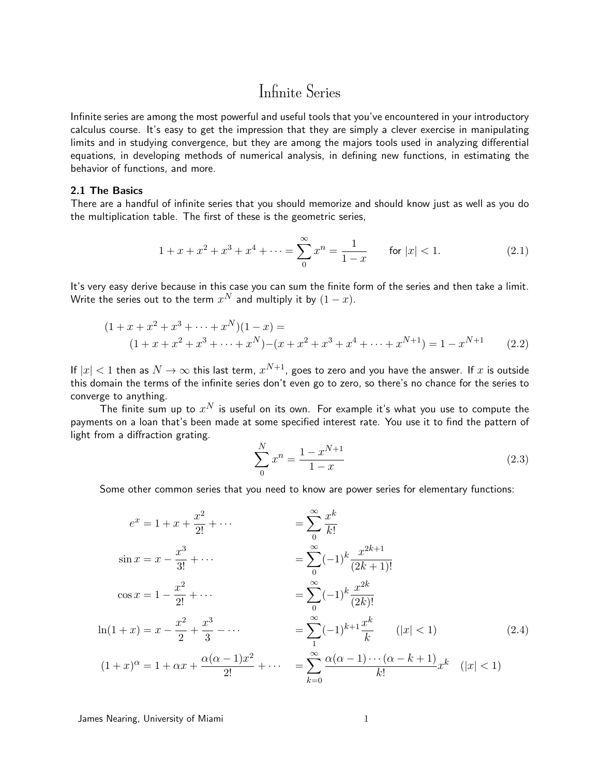Infinite series are among the most powerful and useful tools that you've encountered in your introductory calculus course. It's easy to get the impression that they are simply a clever exercise in manipulating limits and in studying convergence, but they are among the majors tools used in analyzing differential equations, in developing methods of numerical analysis, in defining new functions, in estimating the behavior of functions, and more.

## 2.1 The Basics

There are a handful of infinite series that you should memorize and should know just as well as you do the multiplication table. The first of these is the geometric series,

$$
1 + x + x2 + x3 + x4 + \dots = \sum_{0}^{\infty} x^{n} = \frac{1}{1 - x} \quad \text{for } |x| < 1.
$$
 (2.1)

It's very easy derive because in this case you can sum the finite form of the series and then take a limit. Write the series out to the term  $x^N$  and multiply it by  $(1-x).$ 

$$
(1 + x + x2 + x3 + \dots + xN)(1 - x) =
$$
  

$$
(1 + x + x2 + x3 + \dots + xN) - (x + x2 + x3 + x4 + \dots + xN+1) = 1 - xN+1
$$
 (2.2)

If  $|x| < 1$  then as  $N \to \infty$  this last term,  $x^{N+1}$ , goes to zero and you have the answer. If  $x$  is outside this domain the terms of the infinite series don't even go to zero, so there's no chance for the series to converge to anything.

The finite sum up to  $x^N$  is useful on its own. For example it's what you use to compute the payments on a loan that's been made at some specified interest rate. You use it to find the pattern of light from a diffraction grating.

<span id="page-0-1"></span><span id="page-0-0"></span>
$$
\sum_{0}^{N} x^{n} = \frac{1 - x^{N+1}}{1 - x}
$$
\n(2.3)

Some other common series that you need to know are power series for elementary functions:

$$
e^{x} = 1 + x + \frac{x^{2}}{2!} + \cdots = \sum_{0}^{\infty} \frac{x^{k}}{k!}
$$
  
\n
$$
\sin x = x - \frac{x^{3}}{3!} + \cdots = \sum_{0}^{\infty} (-1)^{k} \frac{x^{2k+1}}{(2k+1)!}
$$
  
\n
$$
\cos x = 1 - \frac{x^{2}}{2!} + \cdots = \sum_{0}^{\infty} (-1)^{k} \frac{x^{2k}}{(2k)!}
$$
  
\n
$$
\ln(1+x) = x - \frac{x^{2}}{2} + \frac{x^{3}}{3} - \cdots = \sum_{1}^{\infty} (-1)^{k+1} \frac{x^{k}}{k} \qquad (|x| < 1)
$$
  
\n
$$
(1+x)^{\alpha} = 1 + \alpha x + \frac{\alpha(\alpha - 1)x^{2}}{2!} + \cdots = \sum_{k=0}^{\infty} \frac{\alpha(\alpha - 1) \cdots (\alpha - k + 1)}{k!} x^{k} \qquad (|x| < 1)
$$

James Nearing, University of Miami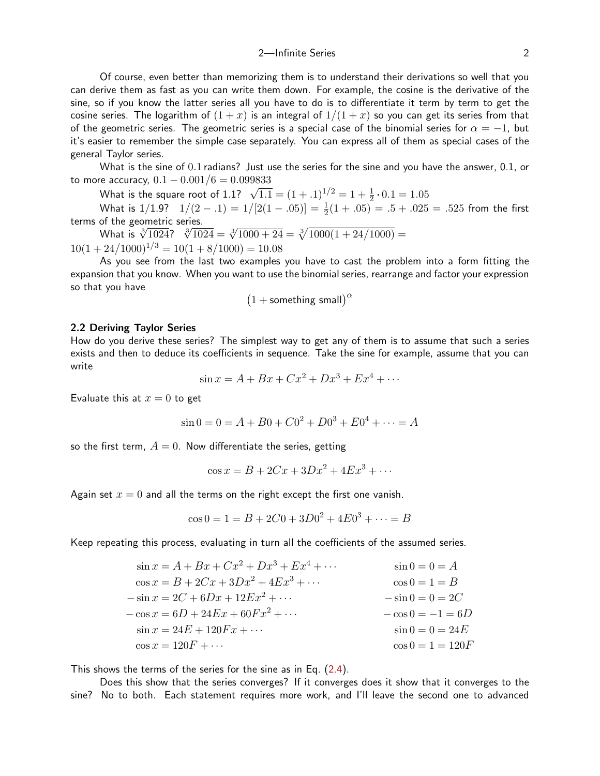Of course, even better than memorizing them is to understand their derivations so well that you can derive them as fast as you can write them down. For example, the cosine is the derivative of the sine, so if you know the latter series all you have to do is to differentiate it term by term to get the cosine series. The logarithm of  $(1 + x)$  is an integral of  $1/(1 + x)$  so you can get its series from that of the geometric series. The geometric series is a special case of the binomial series for  $\alpha = -1$ , but it's easier to remember the simple case separately. You can express all of them as special cases of the general Taylor series.

What is the sine of 0.1 radians? Just use the series for the sine and you have the answer, 0.1, or to more accuracy,  $0.1 - 0.001/6 = 0.099833$ 

What is the square root of 1.1?  $\sqrt{1.1} = (1+.1)^{1/2} = 1 + \frac{1}{2} \cdot 0.1 = 1.05$ 

What is 1/1.9?  $1/(2-.1) = 1/[2(1-.05)] = \frac{1}{2}(1+.05) = .5+.025 = .525$  from the first terms of the geometric series.

or the geometric series.<br>What is  $\sqrt[3]{1024}$ ?  $\sqrt[3]{1024} = \sqrt[3]{1000 + 24} = \sqrt[3]{1000(1 + 24/1000)} =$  $10(1 + 24/1000)^{1/3} = 10(1 + 8/1000) = 10.08$ 

As you see from the last two examples you have to cast the problem into a form fitting the expansion that you know. When you want to use the binomial series, rearrange and factor your expression so that you have

$$
(1 + \text{something small})^{\alpha}
$$

#### 2.2 Deriving Taylor Series

How do you derive these series? The simplest way to get any of them is to assume that such a series exists and then to deduce its coefficients in sequence. Take the sine for example, assume that you can write

$$
\sin x = A + Bx + Cx^2 + Dx^3 + Ex^4 + \cdots
$$

Evaluate this at  $x = 0$  to get

$$
\sin 0 = 0 = A + B0 + C0^2 + D0^3 + E0^4 + \dots = A
$$

so the first term,  $A = 0$ . Now differentiate the series, getting

$$
\cos x = B + 2Cx + 3Dx^2 + 4Ex^3 + \cdots
$$

Again set  $x = 0$  and all the terms on the right except the first one vanish.

$$
\cos 0 = 1 = B + 2C0 + 3D0^2 + 4E0^3 + \dots = B
$$

Keep repeating this process, evaluating in turn all the coefficients of the assumed series.

| $\sin x = A + Bx + Cx^2 + Dx^3 + Ex^4 + \cdots$ | $\sin 0 = 0 = A$    |
|-------------------------------------------------|---------------------|
| $\cos x = B + 2Cx + 3Dx^2 + 4Ex^3 + \cdots$     | $\cos 0 = 1 = B$    |
| $-\sin x = 2C + 6Dx + 12Ex^2 + \cdots$          | $-\sin 0 = 0 = 2C$  |
| $-\cos x = 6D + 24Ex + 60Fx^2 + \cdots$         | $-\cos 0 = -1 = 6D$ |
| $\sin x = 24E + 120Fx + \cdots$                 | $\sin 0 = 0 = 24E$  |
| $\cos x = 120F + \cdots$                        | $\cos 0 = 1 = 120F$ |

This shows the terms of the series for the sine as in Eq. [\(2.4\)](#page-0-0).

Does this show that the series converges? If it converges does it show that it converges to the sine? No to both. Each statement requires more work, and I'll leave the second one to advanced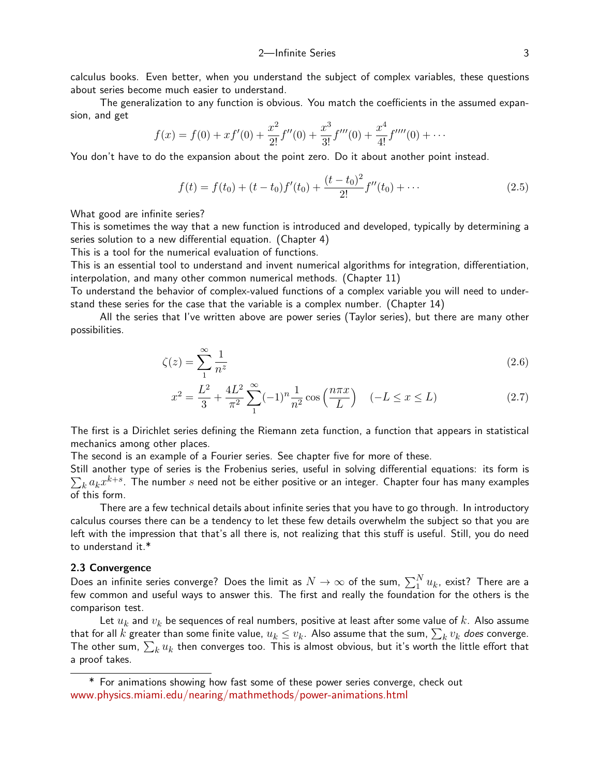calculus books. Even better, when you understand the subject of complex variables, these questions about series become much easier to understand.

The generalization to any function is obvious. You match the coefficients in the assumed expansion, and get

$$
f(x) = f(0) + xf'(0) + \frac{x^2}{2!}f''(0) + \frac{x^3}{3!}f'''(0) + \frac{x^4}{4!}f''''(0) + \cdots
$$

You don't have to do the expansion about the point zero. Do it about another point instead.

<span id="page-2-0"></span>
$$
f(t) = f(t_0) + (t - t_0)f'(t_0) + \frac{(t - t_0)^2}{2!}f''(t_0) + \cdots
$$
\n(2.5)

What good are infinite series?

This is sometimes the way that a new function is introduced and developed, typically by determining a series solution to a new differential equation. (Chapter 4)

This is a tool for the numerical evaluation of functions.

This is an essential tool to understand and invent numerical algorithms for integration, differentiation, interpolation, and many other common numerical methods. (Chapter 11)

To understand the behavior of complex-valued functions of a complex variable you will need to understand these series for the case that the variable is a complex number. (Chapter 14)

All the series that I've written above are power series (Taylor series), but there are many other possibilities.

$$
\zeta(z) = \sum_{1}^{\infty} \frac{1}{n^z} \tag{2.6}
$$

<span id="page-2-2"></span><span id="page-2-1"></span>
$$
x^{2} = \frac{L^{2}}{3} + \frac{4L^{2}}{\pi^{2}} \sum_{1}^{\infty} (-1)^{n} \frac{1}{n^{2}} \cos\left(\frac{n\pi x}{L}\right) \quad (-L \le x \le L)
$$
 (2.7)

The first is a Dirichlet series defining the Riemann zeta function, a function that appears in statistical mechanics among other places.

The second is an example of a Fourier series. See chapter five for more of these.

Still another type of series is the Frobenius series, useful in solving differential equations: its form is  $\sum_k a_k x^{k+s}.$  The number  $s$  need not be either positive or an integer. Chapter four has many examples of this form.

There are a few technical details about infinite series that you have to go through. In introductory calculus courses there can be a tendency to let these few details overwhelm the subject so that you are left with the impression that that's all there is, not realizing that this stuff is useful. Still, you do need to understand it.\*

#### 2.3 Convergence

Does an infinite series converge? Does the limit as  $N\to\infty$  of the sum,  $\sum_1^N u_k$ , exist? There are a few common and useful ways to answer this. The first and really the foundation for the others is the comparison test.

Let  $u_k$  and  $v_k$  be sequences of real numbers, positive at least after some value of k. Also assume that for all  $k$  greater than some finite value,  $u_k \leq v_k.$  Also assume that the sum,  $\sum_k v_k$  *does* converge. The other sum,  $\sum_k u_k$  then converges too. This is almost obvious, but it's worth the little effort that a proof takes.

<sup>\*</sup> For animations showing how fast some of these power series converge, check out [www.physics.miami.edu/nearing/mathmethods/power-animations.html](http://www.physics.miami.edu/nearing/mathmethods/power-animations.html)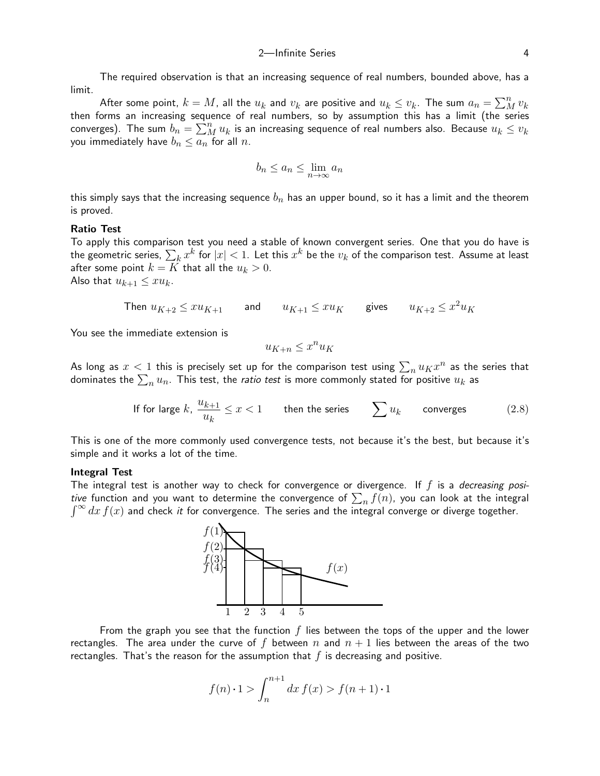The required observation is that an increasing sequence of real numbers, bounded above, has a limit.

After some point,  $k=M$ , all the  $u_k$  and  $v_k$  are positive and  $u_k\leq v_k$ . The sum  $a_n=\sum_M^n v_k$ then forms an increasing sequence of real numbers, so by assumption this has a limit (the series converges). The sum  $b_n=\sum_M^n u_k$  is an increasing sequence of real numbers also. Because  $u_k\leq v_k$ you immediately have  $b_n \le a_n$  for all n.

$$
b_n \le a_n \le \lim_{n \to \infty} a_n
$$

this simply says that the increasing sequence  $b_n$  has an upper bound, so it has a limit and the theorem is proved.

## Ratio Test

To apply this comparison test you need a stable of known convergent series. One that you do have is the geometric series,  $\sum_k x^k$  for  $|x| < 1$ . Let this  $x^k$  be the  $v_k$  of the comparison test. Assume at least after some point  $k = K$  that all the  $u_k > 0$ .

Also that  $u_{k+1} \leq xu_k$ .

Then 
$$
u_{K+2} \leq xu_{K+1}
$$
 and  $u_{K+1} \leq xu_K$  gives  $u_{K+2} \leq x^2 u_K$ 

You see the immediate extension is

$$
u_{K+n} \le x^n u_K
$$

As long as  $x < 1$  this is precisely set up for the comparison test using  $\sum_n u_K x^n$  as the series that dominates the  $\sum_n u_n$ . This test, the *ratio test* is more commonly stated for positive  $u_k$  as

If for large 
$$
k
$$
,  $\frac{u_{k+1}}{u_k} \le x < 1$  then the series  $\sum u_k$  converges (2.8)

This is one of the more commonly used convergence tests, not because it's the best, but because it's simple and it works a lot of the time.

#### Integral Test

The integral test is another way to check for convergence or divergence. If  $f$  is a *decreasing posi*tive function and you want to determine the convergence of  $\sum_n f(n)$ , you can look at the integral  $\int_0^\infty dx f(x)$  and check it for convergence. The series and the integral converge or diverge together.



From the graph you see that the function  $f$  lies between the tops of the upper and the lower rectangles. The area under the curve of f between n and  $n + 1$  lies between the areas of the two rectangles. That's the reason for the assumption that  $f$  is decreasing and positive.

$$
f(n) \cdot 1 > \int_{n}^{n+1} dx \, f(x) > f(n+1) \cdot 1
$$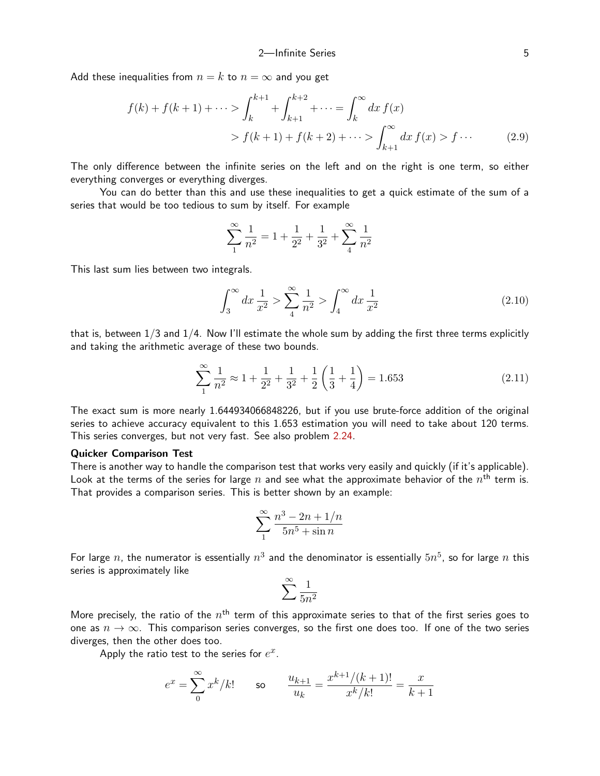Add these inequalities from  $n = k$  to  $n = \infty$  and you get

$$
f(k) + f(k+1) + \dots > \int_{k}^{k+1} + \int_{k+1}^{k+2} + \dots = \int_{k}^{\infty} dx f(x)
$$
  
>  $f(k+1) + f(k+2) + \dots > \int_{k+1}^{\infty} dx f(x) > f \dots$  (2.9)

The only difference between the infinite series on the left and on the right is one term, so either everything converges or everything diverges.

You can do better than this and use these inequalities to get a quick estimate of the sum of a series that would be too tedious to sum by itself. For example

$$
\sum_{1}^{\infty} \frac{1}{n^2} = 1 + \frac{1}{2^2} + \frac{1}{3^2} + \sum_{4}^{\infty} \frac{1}{n^2}
$$

This last sum lies between two integrals.

$$
\int_{3}^{\infty} dx \frac{1}{x^2} > \sum_{4}^{\infty} \frac{1}{n^2} > \int_{4}^{\infty} dx \frac{1}{x^2}
$$
 (2.10)

that is, between  $1/3$  and  $1/4$ . Now I'll estimate the whole sum by adding the first three terms explicitly and taking the arithmetic average of these two bounds.

$$
\sum_{1}^{\infty} \frac{1}{n^2} \approx 1 + \frac{1}{2^2} + \frac{1}{3^2} + \frac{1}{2} \left( \frac{1}{3} + \frac{1}{4} \right) = 1.653
$$
 (2.11)

The exact sum is more nearly 1.644934066848226, but if you use brute-force addition of the original series to achieve accuracy equivalent to this 1.653 estimation you will need to take about 120 terms. This series converges, but not very fast. See also problem [2.24](#page-23-0).

## Quicker Comparison Test

There is another way to handle the comparison test that works very easily and quickly (if it's applicable). Look at the terms of the series for large  $n$  and see what the approximate behavior of the  $n^{\mathsf{th}}$  term is. That provides a comparison series. This is better shown by an example:

<span id="page-4-0"></span>
$$
\sum_1^{\infty}\frac{n^3-2n+1/n}{5n^5+\sin n}
$$

For large  $n$ , the numerator is essentially  $n^3$  and the denominator is essentially  $5n^5$ , so for large  $n$  this series is approximately like

$$
\sum_{n=1}^{\infty} \frac{1}{5n^2}
$$

More precisely, the ratio of the  $n^{\mathsf{th}}$  term of this approximate series to that of the first series goes to one as  $n \to \infty$ . This comparison series converges, so the first one does too. If one of the two series diverges, then the other does too.

Apply the ratio test to the series for  $e^x$ .

$$
e^x = \sum_{0}^{\infty} x^k / k!
$$
 so  $\frac{u_{k+1}}{u_k} = \frac{x^{k+1}/(k+1)!}{x^k/k!} = \frac{x}{k+1}$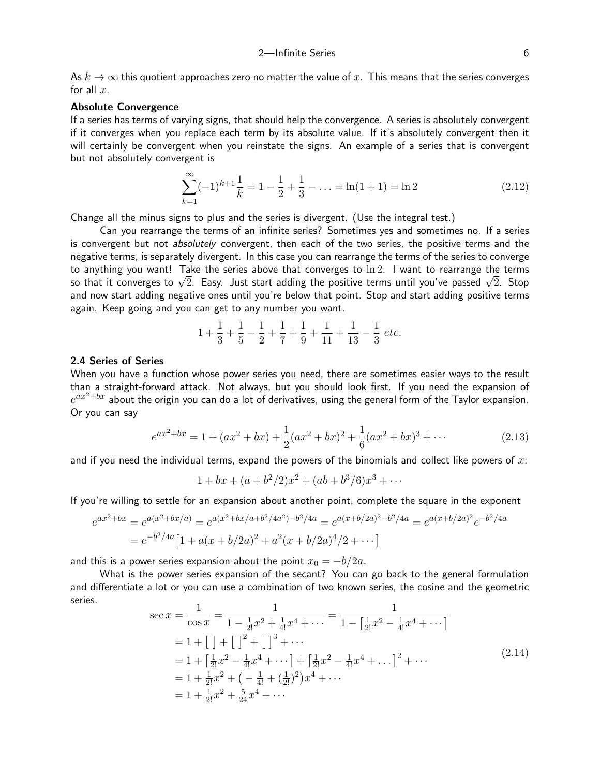As  $k \to \infty$  this quotient approaches zero no matter the value of x. This means that the series converges for all  $x$ .

## Absolute Convergence

If a series has terms of varying signs, that should help the convergence. A series is absolutely convergent if it converges when you replace each term by its absolute value. If it's absolutely convergent then it will certainly be convergent when you reinstate the signs. An example of a series that is convergent but not absolutely convergent is

$$
\sum_{k=1}^{\infty} (-1)^{k+1} \frac{1}{k} = 1 - \frac{1}{2} + \frac{1}{3} - \dots = \ln(1+1) = \ln 2
$$
 (2.12)

Change all the minus signs to plus and the series is divergent. (Use the integral test.)

Can you rearrange the terms of an infinite series? Sometimes yes and sometimes no. If a series is convergent but not *absolutely* convergent, then each of the two series, the positive terms and the negative terms, is separately divergent. In this case you can rearrange the terms of the series to converge to anything you want! Take the series above that converges to  $\ln 2$ . I want to rearrange the terms to anytning you want! Take the series above that converges to In2. T want to rearrange the terms<br>so that it converges to  $\sqrt{2}.$  Easy. Just start adding the positive terms until you've passed  $\sqrt{2}.$  Stop and now start adding negative ones until you're below that point. Stop and start adding positive terms again. Keep going and you can get to any number you want.

$$
1 + \frac{1}{3} + \frac{1}{5} - \frac{1}{2} + \frac{1}{7} + \frac{1}{9} + \frac{1}{11} + \frac{1}{13} - \frac{1}{3} \text{ etc.}
$$

## 2.4 Series of Series

When you have a function whose power series you need, there are sometimes easier ways to the result than a straight-forward attack. Not always, but you should look first. If you need the expansion of  $e^{ax^2+bx}$  about the origin you can do a lot of derivatives, using the general form of the Taylor expansion. Or you can say

$$
e^{ax^2+bx} = 1 + (ax^2+bx) + \frac{1}{2}(ax^2+bx)^2 + \frac{1}{6}(ax^2+bx)^3 + \cdots
$$
 (2.13)

and if you need the individual terms, expand the powers of the binomials and collect like powers of  $x$ :

<span id="page-5-0"></span>
$$
1 + bx + (a + b^2/2)x^2 + (ab + b^3/6)x^3 + \cdots
$$

If you're willing to settle for an expansion about another point, complete the square in the exponent

$$
e^{ax^2+bx} = e^{a(x^2+bx/a)} = e^{a(x^2+bx/a+b^2/4a^2)-b^2/4a} = e^{a(x+b/2a)^2-b^2/4a} = e^{a(x+b/2a)^2}e^{-b^2/4a}
$$

$$
= e^{-b^2/4a} \left[1 + a(x+b/2a)^2 + a^2(x+b/2a)^4/2 + \cdots\right]
$$

and this is a power series expansion about the point  $x_0 = -b/2a$ .

What is the power series expansion of the secant? You can go back to the general formulation and differentiate a lot or you can use a combination of two known series, the cosine and the geometric series.

$$
\sec x = \frac{1}{\cos x} = \frac{1}{1 - \frac{1}{2!}x^2 + \frac{1}{4!}x^4 + \cdots} = \frac{1}{1 - \left[\frac{1}{2!}x^2 - \frac{1}{4!}x^4 + \cdots\right]}
$$
  
\n
$$
= 1 + \left[\frac{1}{2!} + \left[\frac{1}{2!}x^4 + \cdots\right] + \left[\frac{1}{2!}x^2 - \frac{1}{4!}x^4 + \cdots\right]^2 + \cdots
$$
  
\n
$$
= 1 + \frac{1}{2!}x^2 + \left(-\frac{1}{4!} + \left(\frac{1}{2!}\right)^2\right)x^4 + \cdots
$$
  
\n
$$
= 1 + \frac{1}{2!}x^2 + \frac{5}{24}x^4 + \cdots
$$
  
\n(2.14)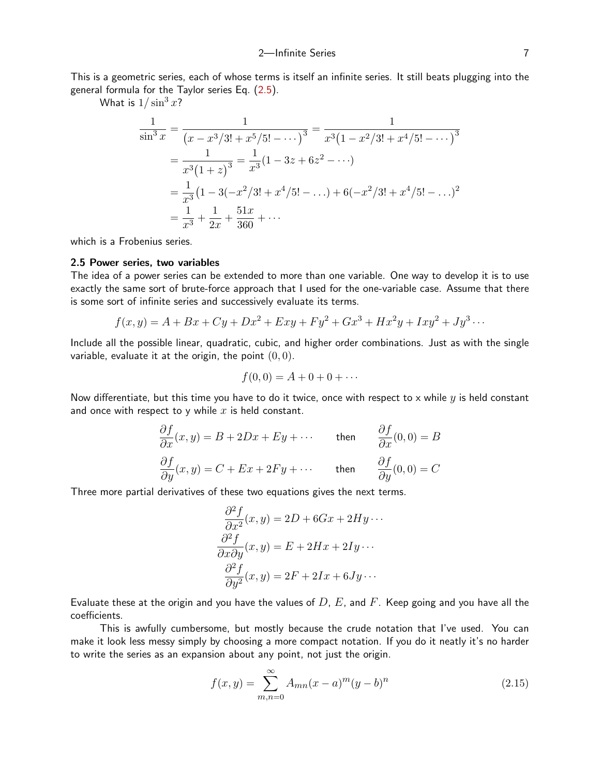This is a geometric series, each of whose terms is itself an infinite series. It still beats plugging into the general formula for the Taylor series Eq. [\(2.5\)](#page-2-0).

What is  $1/\sin^3 x$ ?

$$
\frac{1}{\sin^3 x} = \frac{1}{(x - x^3/3! + x^5/5! - \cdots)^3} = \frac{1}{x^3(1 - x^2/3! + x^4/5! - \cdots)^3}
$$

$$
= \frac{1}{x^3(1 + z)^3} = \frac{1}{x^3}(1 - 3z + 6z^2 - \cdots)
$$

$$
= \frac{1}{x^3}(1 - 3(-x^2/3! + x^4/5! - \cdots) + 6(-x^2/3! + x^4/5! - \cdots)^2)
$$

$$
= \frac{1}{x^3} + \frac{1}{2x} + \frac{51x}{360} + \cdots
$$

which is a Frobenius series.

## 2.5 Power series, two variables

The idea of a power series can be extended to more than one variable. One way to develop it is to use exactly the same sort of brute-force approach that I used for the one-variable case. Assume that there is some sort of infinite series and successively evaluate its terms.

$$
f(x,y) = A + Bx + Cy + Dx^{2} + Exy + Fy^{2} + Gx^{3} + Hx^{2}y + Ixy^{2} + Jy^{3} \cdots
$$

Include all the possible linear, quadratic, cubic, and higher order combinations. Just as with the single variable, evaluate it at the origin, the point  $(0, 0)$ .

$$
f(0,0) = A + 0 + 0 + \cdots
$$

Now differentiate, but this time you have to do it twice, once with respect to x while  $y$  is held constant and once with respect to y while  $x$  is held constant.

$$
\frac{\partial f}{\partial x}(x, y) = B + 2Dx + Ey + \cdots \qquad \text{then} \qquad \frac{\partial f}{\partial x}(0, 0) = B
$$
  

$$
\frac{\partial f}{\partial y}(x, y) = C + Ex + 2Fy + \cdots \qquad \text{then} \qquad \frac{\partial f}{\partial y}(0, 0) = C
$$

Three more partial derivatives of these two equations gives the next terms.

$$
\frac{\partial^2 f}{\partial x^2}(x, y) = 2D + 6Gx + 2Hy \cdots
$$

$$
\frac{\partial^2 f}{\partial x \partial y}(x, y) = E + 2Hx + 2Iy \cdots
$$

$$
\frac{\partial^2 f}{\partial y^2}(x, y) = 2F + 2Ix + 6Jy \cdots
$$

Evaluate these at the origin and you have the values of  $D, E$ , and F. Keep going and you have all the coefficients.

This is awfully cumbersome, but mostly because the crude notation that I've used. You can make it look less messy simply by choosing a more compact notation. If you do it neatly it's no harder to write the series as an expansion about any point, not just the origin.

$$
f(x,y) = \sum_{m,n=0}^{\infty} A_{mn}(x-a)^m (y-b)^n
$$
 (2.15)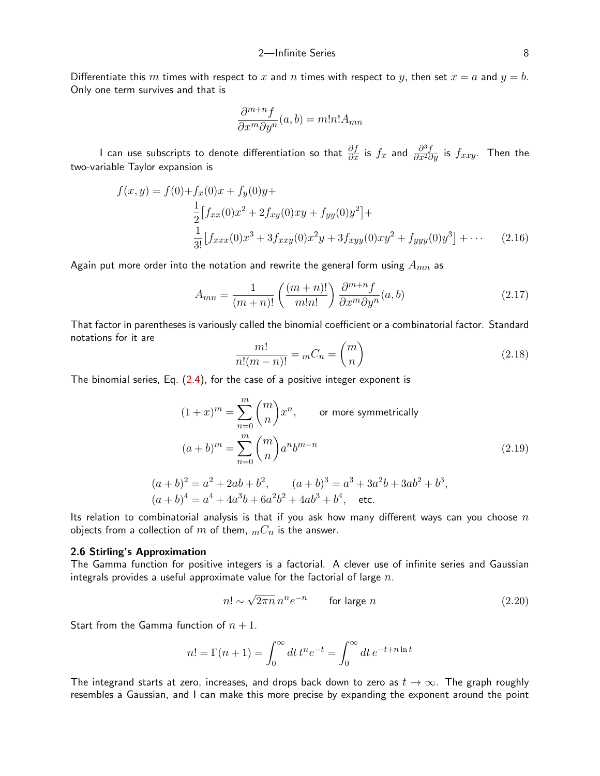Differentiate this m times with respect to x and n times with respect to y, then set  $x = a$  and  $y = b$ . Only one term survives and that is

$$
\frac{\partial^{m+n}f}{\partial x^m \partial y^n}(a,b) = m!n!A_{mn}
$$

I can use subscripts to denote differentiation so that  $\frac{\partial f}{\partial x}$  is  $f_x$  and  $\frac{\partial^3 f}{\partial x^2 \partial y}$  is  $f_{xxy}.$  Then the two-variable Taylor expansion is

$$
f(x,y) = f(0) + f_x(0)x + f_y(0)y +
$$
  
\n
$$
\frac{1}{2} [f_{xx}(0)x^2 + 2f_{xy}(0)xy + f_{yy}(0)y^2] +
$$
  
\n
$$
\frac{1}{3!} [f_{xxx}(0)x^3 + 3f_{xxy}(0)x^2y + 3f_{xyy}(0)xy^2 + f_{yyy}(0)y^3] + \cdots
$$
\n(2.16)

Again put more order into the notation and rewrite the general form using  $A_{mn}$  as

$$
A_{mn} = \frac{1}{(m+n)!} \left( \frac{(m+n)!}{m!n!} \right) \frac{\partial^{m+n} f}{\partial x^m \partial y^n} (a, b)
$$
 (2.17)

That factor in parentheses is variously called the binomial coefficient or a combinatorial factor. Standard notations for it are

<span id="page-7-2"></span><span id="page-7-1"></span>
$$
\frac{m!}{n!(m-n)!} = {}_mC_n = \binom{m}{n} \tag{2.18}
$$

The binomial series, Eq. [\(2.4\)](#page-0-0), for the case of a positive integer exponent is

$$
(1+x)^m = \sum_{n=0}^m \binom{m}{n} x^n,
$$
 or more symmetrically  

$$
(a+b)^m = \sum_{n=0}^m \binom{m}{n} a^n b^{m-n}
$$

$$
(a+b)^2 = a^2 + 2ab + b^2,
$$
 
$$
(a+b)^3 = a^3 + 3a^2b + 3ab^2 + b^3,
$$
 (2.19)

$$
(a+b)^4 = a^4 + 4a^3b + 6a^2b^2 + 4ab^3 + b^4
$$
, etc.  
Its relation to combinatorial analysis is that if you ask how many different ways can you choose n

objects from a collection of m of them,  $mC_n$  is the answer.

## 2.6 Stirling's Approximation

The Gamma function for positive integers is a factorial. A clever use of infinite series and Gaussian integrals provides a useful approximate value for the factorial of large  $n$ .

<span id="page-7-0"></span>
$$
n! \sim \sqrt{2\pi n} \, n^n e^{-n} \qquad \text{for large } n \tag{2.20}
$$

Start from the Gamma function of  $n + 1$ .

$$
n! = \Gamma(n+1) = \int_0^\infty dt \, t^n e^{-t} = \int_0^\infty dt \, e^{-t + n \ln t}
$$

The integrand starts at zero, increases, and drops back down to zero as  $t \to \infty$ . The graph roughly resembles a Gaussian, and I can make this more precise by expanding the exponent around the point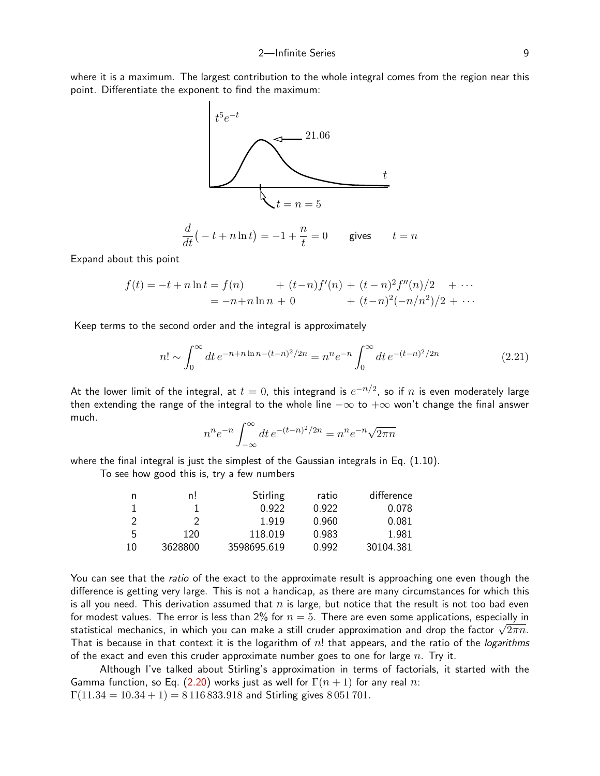where it is a maximum. The largest contribution to the whole integral comes from the region near this point. Differentiate the exponent to find the maximum:



d  $\frac{d}{dt}(-t+n\ln t) = -1+\frac{n}{t}$ t gives  $t = n$ 

Expand about this point

$$
f(t) = -t + n \ln t = f(n) + (t - n)f'(n) + (t - n)^2 f''(n)/2 + \cdots
$$
  
= -n + n \ln n + 0 + (t - n)^2(-n/n^2)/2 + \cdots

Keep terms to the second order and the integral is approximately

$$
n! \sim \int_0^\infty dt \, e^{-n+n\ln n - (t-n)^2/2n} = n^n e^{-n} \int_0^\infty dt \, e^{-(t-n)^2/2n} \tag{2.21}
$$

At the lower limit of the integral, at  $t=0$ , this integrand is  $e^{-n/2}$ , so if  $n$  is even moderately large then extending the range of the integral to the whole line  $-\infty$  to  $+\infty$  won't change the final answer much.

<span id="page-8-0"></span>
$$
n^{n}e^{-n} \int_{-\infty}^{\infty} dt \, e^{-(t-n)^{2}/2n} = n^{n}e^{-n} \sqrt{2\pi n}
$$

where the final integral is just the simplest of the Gaussian integrals in Eq. (1.10).

To see how good this is, try a few numbers

| n  | n!      | Stirling    | ratio | difference |
|----|---------|-------------|-------|------------|
|    |         | 0.922       | 0.922 | 0.078      |
|    |         | 1919        | 0.960 | 0.081      |
| 5  | 120     | 118.019     | 0.983 | 1.981      |
| 10 | 3628800 | 3598695.619 | 0.992 | 30104.381  |

You can see that the *ratio* of the exact to the approximate result is approaching one even though the difference is getting very large. This is not a handicap, as there are many circumstances for which this is all you need. This derivation assumed that  $n$  is large, but notice that the result is not too bad even for modest values. The error is less than 2% for  $n = 5$ . There are even some applications, especially in τοr modest values. The error is less than 2% for  $n=$  5. There are even some applications, especially in statistical mechanics, in which you can make a still cruder approximation and drop the factor  $\sqrt{2\pi n}$ . That is because in that context it is the logarithm of  $n!$  that appears, and the ratio of the logarithms of the exact and even this cruder approximate number goes to one for large  $n$ . Try it.

Although I've talked about Stirling's approximation in terms of factorials, it started with the Gamma function, so Eq. [\(2.20](#page-7-0)) works just as well for  $\Gamma(n+1)$  for any real n:  $\Gamma(11.34 = 10.34 + 1) = 8116833.918$  and Stirling gives 8051701.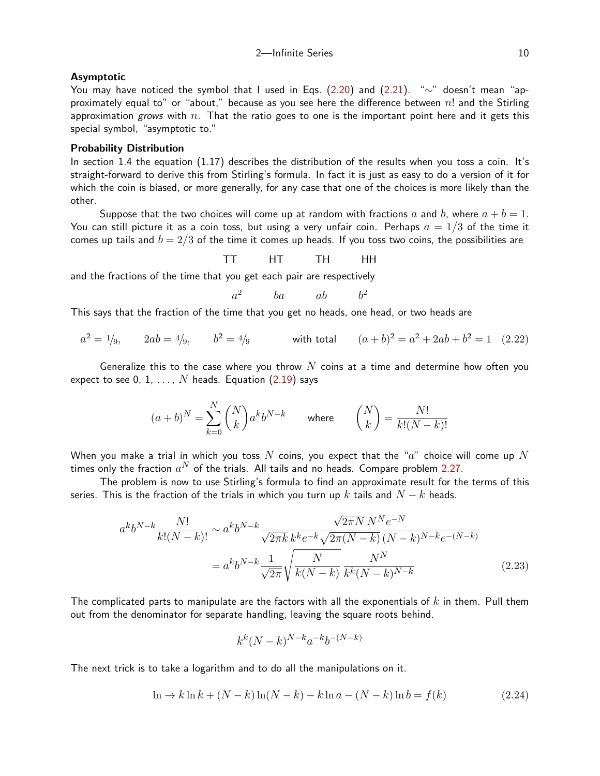## Asymptotic

You may have noticed the symbol that I used in Eqs. ([2.20](#page-7-0)) and [\(2.21](#page-8-0)). "∼" doesn't mean "approximately equal to" or "about," because as you see here the difference between  $n!$  and the Stirling approximation grows with  $n$ . That the ratio goes to one is the important point here and it gets this special symbol, "asymptotic to."

## Probability Distribution

In section 1.4 the equation (1.17) describes the distribution of the results when you toss a coin. It's straight-forward to derive this from Stirling's formula. In fact it is just as easy to do a version of it for which the coin is biased, or more generally, for any case that one of the choices is more likely than the other.

Suppose that the two choices will come up at random with fractions a and b, where  $a + b = 1$ . You can still picture it as a coin toss, but using a very unfair coin. Perhaps  $a = 1/3$  of the time it comes up tails and  $b = 2/3$  of the time it comes up heads. If you toss two coins, the possibilities are

TT HT TH HH

and the fractions of the time that you get each pair are respectively

<span id="page-9-1"></span>
$$
a^2 \qquad ba \qquad ab \qquad b^2
$$

This says that the fraction of the time that you get no heads, one head, or two heads are

$$
a^2 = 1/9,
$$
  $2ab = 4/9,$   $b^2 = 4/9$  with total  $(a+b)^2 = a^2 + 2ab + b^2 = 1$  (2.22)

Generalize this to the case where you throw  $N$  coins at a time and determine how often you expect to see 0, 1,  $\dots$ , N heads. Equation ([2.19](#page-7-1)) says

$$
(a+b)^N = \sum_{k=0}^N {N \choose k} a^k b^{N-k} \qquad \text{where} \qquad {N \choose k} = \frac{N!}{k!(N-k)!}
$$

When you make a trial in which you toss  $N$  coins, you expect that the " $a$ " choice will come up  $N$ times only the fraction  $a^N$  of the trials. All tails and no heads. Compare problem [2.27](#page-23-1).

The problem is now to use Stirling's formula to find an approximate result for the terms of this series. This is the fraction of the trials in which you turn up k tails and  $N - k$  heads.

$$
a^{k}b^{N-k} \frac{N!}{k!(N-k)!} \sim a^{k}b^{N-k} \frac{\sqrt{2\pi N} \, N^{N} e^{-N}}{\sqrt{2\pi k} \, k^{k} e^{-k} \sqrt{2\pi (N-k)} \, (N-k)^{N-k} e^{-(N-k)}} = a^{k}b^{N-k} \frac{1}{\sqrt{2\pi}} \sqrt{\frac{N}{k(N-k)}} \frac{N^{N}}{k^{k}(N-k)^{N-k}}
$$
(2.23)

The complicated parts to manipulate are the factors with all the exponentials of  $k$  in them. Pull them out from the denominator for separate handling, leaving the square roots behind.

<span id="page-9-0"></span>
$$
k^k (N-k)^{N-k} a^{-k} b^{-(N-k)}
$$

The next trick is to take a logarithm and to do all the manipulations on it.

$$
\ln \to k \ln k + (N - k) \ln(N - k) - k \ln a - (N - k) \ln b = f(k) \tag{2.24}
$$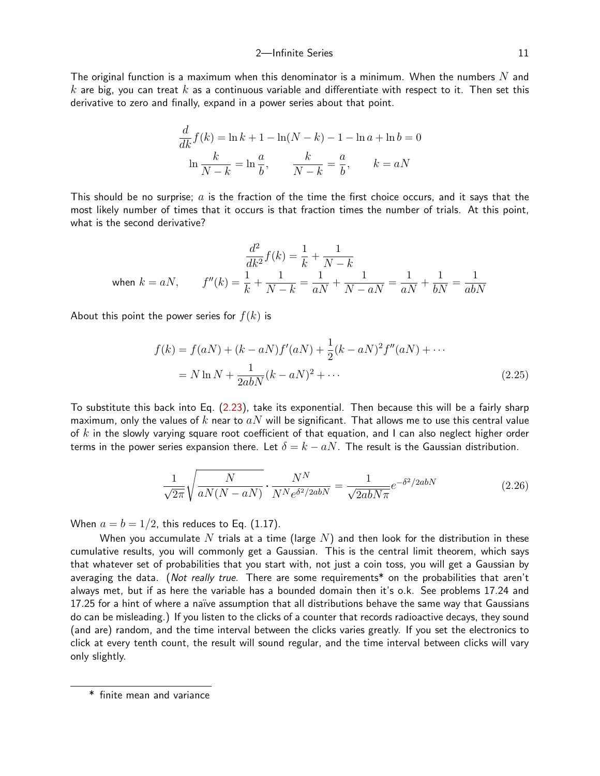The original function is a maximum when this denominator is a minimum. When the numbers  $N$  and k are big, you can treat k as a continuous variable and differentiate with respect to it. Then set this derivative to zero and finally, expand in a power series about that point.

$$
\frac{d}{dk}f(k) = \ln k + 1 - \ln(N - k) - 1 - \ln a + \ln b = 0
$$
  

$$
\ln \frac{k}{N - k} = \ln \frac{a}{b}, \qquad \frac{k}{N - k} = \frac{a}{b}, \qquad k = aN
$$

This should be no surprise;  $a$  is the fraction of the time the first choice occurs, and it says that the most likely number of times that it occurs is that fraction times the number of trials. At this point, what is the second derivative?

$$
\frac{d^2}{dk^2} f(k) = \frac{1}{k} + \frac{1}{N - k}
$$
  
when  $k = aN$ ,  $f''(k) = \frac{1}{k} + \frac{1}{N - k} = \frac{1}{aN} + \frac{1}{N - aN} = \frac{1}{aN} + \frac{1}{bN} = \frac{1}{abN}$ 

About this point the power series for  $f(k)$  is

<span id="page-10-1"></span>
$$
f(k) = f(aN) + (k - aN)f'(aN) + \frac{1}{2}(k - aN)^2 f''(aN) + \cdots
$$
  
= N ln N +  $\frac{1}{2abN}(k - aN)^2 + \cdots$  (2.25)

To substitute this back into Eq. ([2.23](#page-9-0)), take its exponential. Then because this will be a fairly sharp maximum, only the values of k near to  $aN$  will be significant. That allows me to use this central value of k in the slowly varying square root coefficient of that equation, and I can also neglect higher order terms in the power series expansion there. Let  $\delta = k - aN$ . The result is the Gaussian distribution.

<span id="page-10-0"></span>
$$
\frac{1}{\sqrt{2\pi}}\sqrt{\frac{N}{aN(N-aN)}}\cdot\frac{N^N}{N^Ne^{\delta^2/2abN}} = \frac{1}{\sqrt{2abN\pi}}e^{-\delta^2/2abN}
$$
(2.26)

When  $a = b = 1/2$ , this reduces to Eq. (1.17).

When you accumulate  $N$  trials at a time (large  $N$ ) and then look for the distribution in these cumulative results, you will commonly get a Gaussian. This is the central limit theorem, which says that whatever set of probabilities that you start with, not just a coin toss, you will get a Gaussian by averaging the data. (Not really true. There are some requirements<sup>\*</sup> on the probabilities that aren't always met, but if as here the variable has a bounded domain then it's o.k. See problems 17.24 and 17.25 for a hint of where a naïve assumption that all distributions behave the same way that Gaussians do can be misleading.) If you listen to the clicks of a counter that records radioactive decays, they sound (and are) random, and the time interval between the clicks varies greatly. If you set the electronics to click at every tenth count, the result will sound regular, and the time interval between clicks will vary only slightly.

<sup>\*</sup> finite mean and variance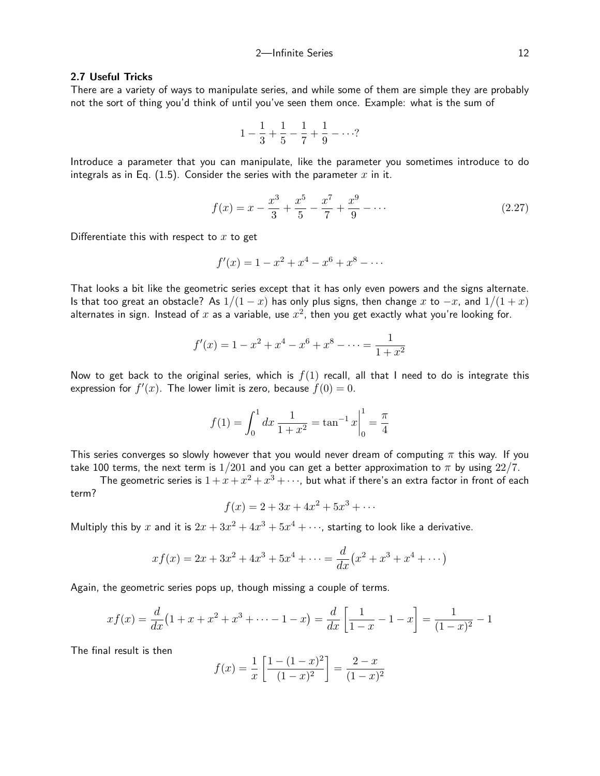## 2.7 Useful Tricks

There are a variety of ways to manipulate series, and while some of them are simple they are probably not the sort of thing you'd think of until you've seen them once. Example: what is the sum of

$$
1 - \frac{1}{3} + \frac{1}{5} - \frac{1}{7} + \frac{1}{9} - \cdots?
$$

Introduce a parameter that you can manipulate, like the parameter you sometimes introduce to do integrals as in Eq.  $(1.5)$ . Consider the series with the parameter x in it.

$$
f(x) = x - \frac{x^3}{3} + \frac{x^5}{5} - \frac{x^7}{7} + \frac{x^9}{9} - \dots
$$
 (2.27)

Differentiate this with respect to  $x$  to get

$$
f'(x) = 1 - x^2 + x^4 - x^6 + x^8 - \dots
$$

That looks a bit like the geometric series except that it has only even powers and the signs alternate. Is that too great an obstacle? As  $1/(1-x)$  has only plus signs, then change x to  $-x$ , and  $1/(1+x)$ alternates in sign. Instead of  $x$  as a variable, use  $x^2$ , then you get exactly what you're looking for.

$$
f'(x) = 1 - x^2 + x^4 - x^6 + x^8 - \dots = \frac{1}{1 + x^2}
$$

Now to get back to the original series, which is  $f(1)$  recall, all that I need to do is integrate this expression for  $f'(x)$ . The lower limit is zero, because  $f(0) = 0$ .

$$
f(1) = \int_0^1 dx \, \frac{1}{1+x^2} = \tan^{-1} x \Big|_0^1 = \frac{\pi}{4}
$$

This series converges so slowly however that you would never dream of computing  $\pi$  this way. If you take 100 terms, the next term is  $1/201$  and you can get a better approximation to  $\pi$  by using  $22/7$ .

The geometric series is  $1+x+x^2+x^3+\cdots$ , but what if there's an extra factor in front of each term?

$$
f(x) = 2 + 3x + 4x^2 + 5x^3 + \dots
$$

Multiply this by x and it is  $2x + 3x^2 + 4x^3 + 5x^4 + \cdots$ , starting to look like a derivative.

$$
xf(x) = 2x + 3x^{2} + 4x^{3} + 5x^{4} + \dots = \frac{d}{dx}(x^{2} + x^{3} + x^{4} + \dots)
$$

Again, the geometric series pops up, though missing a couple of terms.

$$
xf(x) = \frac{d}{dx}\left(1 + x + x^2 + x^3 + \dots - 1 - x\right) = \frac{d}{dx}\left[\frac{1}{1 - x} - 1 - x\right] = \frac{1}{(1 - x)^2} - 1
$$

The final result is then

$$
f(x) = \frac{1}{x} \left[ \frac{1 - (1 - x)^2}{(1 - x)^2} \right] = \frac{2 - x}{(1 - x)^2}
$$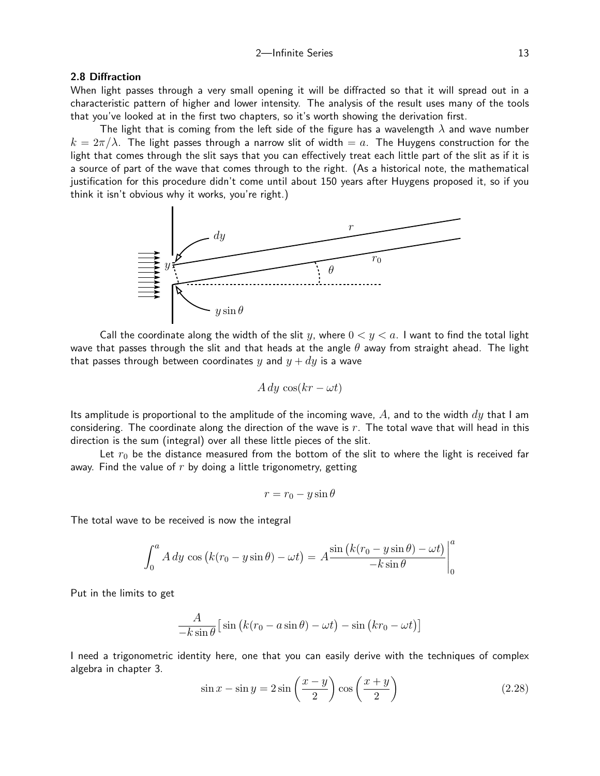## 2.8 Diffraction

When light passes through a very small opening it will be diffracted so that it will spread out in a characteristic pattern of higher and lower intensity. The analysis of the result uses many of the tools that you've looked at in the first two chapters, so it's worth showing the derivation first.

The light that is coming from the left side of the figure has a wavelength  $\lambda$  and wave number  $k = 2\pi/\lambda$ . The light passes through a narrow slit of width  $= a$ . The Huygens construction for the light that comes through the slit says that you can effectively treat each little part of the slit as if it is a source of part of the wave that comes through to the right. (As a historical note, the mathematical justification for this procedure didn't come until about 150 years after Huygens proposed it, so if you think it isn't obvious why it works, you're right.)



Call the coordinate along the width of the slit y, where  $0 < y < a$ . I want to find the total light wave that passes through the slit and that heads at the angle  $\theta$  away from straight ahead. The light that passes through between coordinates y and  $y + dy$  is a wave

$$
A\,dy\,\cos(kr - \omega t)
$$

Its amplitude is proportional to the amplitude of the incoming wave,  $A$ , and to the width  $dy$  that I am considering. The coordinate along the direction of the wave is  $r$ . The total wave that will head in this direction is the sum (integral) over all these little pieces of the slit.

Let  $r_0$  be the distance measured from the bottom of the slit to where the light is received far away. Find the value of  $r$  by doing a little trigonometry, getting

$$
r = r_0 - y \sin \theta
$$

The total wave to be received is now the integral

$$
\int_0^a A\,dy \, \cos\left(k(r_0 - y\sin\theta) - \omega t\right) = A \frac{\sin\left(k(r_0 - y\sin\theta) - \omega t\right)}{-k\sin\theta}\Big|_0^a
$$

Put in the limits to get

$$
\frac{A}{-k\sin\theta}\left[\sin\left(k(r_0 - a\sin\theta) - \omega t\right) - \sin\left(kr_0 - \omega t\right)\right]
$$

I need a trigonometric identity here, one that you can easily derive with the techniques of complex algebra in chapter 3.

$$
\sin x - \sin y = 2\sin\left(\frac{x-y}{2}\right)\cos\left(\frac{x+y}{2}\right) \tag{2.28}
$$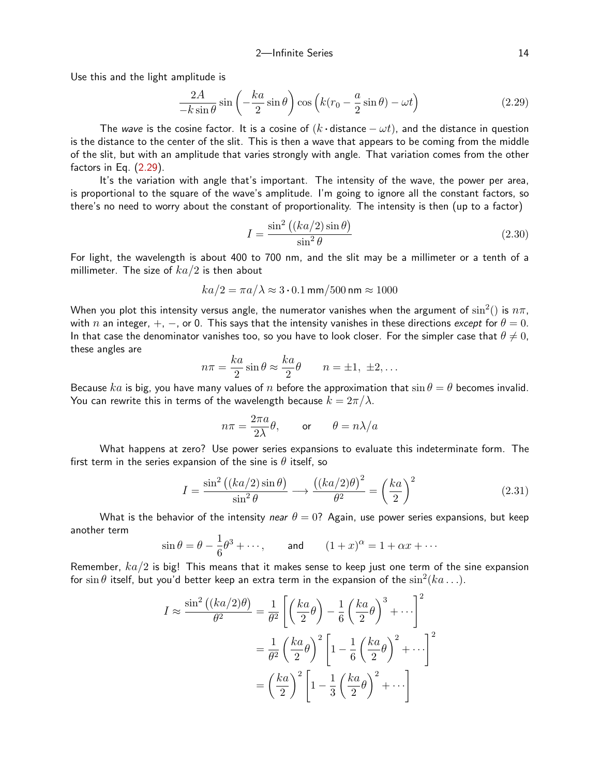Use this and the light amplitude is

$$
\frac{2A}{-k\sin\theta}\sin\left(-\frac{ka}{2}\sin\theta\right)\cos\left(k(r_0-\frac{a}{2}\sin\theta)-\omega t\right) \tag{2.29}
$$

The wave is the cosine factor. It is a cosine of  $(k \cdot \text{distance} - \omega t)$ , and the distance in question is the distance to the center of the slit. This is then a wave that appears to be coming from the middle of the slit, but with an amplitude that varies strongly with angle. That variation comes from the other factors in Eq. [\(2.29](#page-13-0)).

It's the variation with angle that's important. The intensity of the wave, the power per area, is proportional to the square of the wave's amplitude. I'm going to ignore all the constant factors, so there's no need to worry about the constant of proportionality. The intensity is then (up to a factor)

<span id="page-13-1"></span><span id="page-13-0"></span>
$$
I = \frac{\sin^2\left((ka/2)\sin\theta\right)}{\sin^2\theta} \tag{2.30}
$$

For light, the wavelength is about 400 to 700 nm, and the slit may be a millimeter or a tenth of a millimeter. The size of  $ka/2$  is then about

$$
ka/2 = \pi a/\lambda \approx 3 \cdot 0.1 \,\text{mm}/500 \,\text{nm} \approx 1000
$$

When you plot this intensity versus angle, the numerator vanishes when the argument of  $\sin^2()$  is  $n\pi,$ with n an integer,  $+$ ,  $-$ , or 0. This says that the intensity vanishes in these directions except for  $\theta = 0$ . In that case the denominator vanishes too, so you have to look closer. For the simpler case that  $\theta \neq 0$ , these angles are

$$
n\pi = \frac{ka}{2}\sin\theta \approx \frac{ka}{2}\theta \qquad n = \pm 1, \ \pm 2, \dots
$$

Because ka is big, you have many values of n before the approximation that  $\sin \theta = \theta$  becomes invalid. You can rewrite this in terms of the wavelength because  $k = 2\pi/\lambda$ .

<span id="page-13-2"></span>
$$
n\pi = \frac{2\pi a}{2\lambda}\theta, \quad \text{or} \quad \theta = n\lambda/a
$$

What happens at zero? Use power series expansions to evaluate this indeterminate form. The first term in the series expansion of the sine is  $\theta$  itself, so

$$
I = \frac{\sin^2((ka/2)\sin\theta)}{\sin^2\theta} \longrightarrow \frac{((ka/2)\theta)^2}{\theta^2} = \left(\frac{ka}{2}\right)^2 \tag{2.31}
$$

What is the behavior of the intensity near  $\theta = 0$ ? Again, use power series expansions, but keep another term

$$
\sin \theta = \theta - \frac{1}{6}\theta^3 + \cdots
$$
, and  $(1+x)^{\alpha} = 1 + \alpha x + \cdots$ 

Remember,  $ka/2$  is big! This means that it makes sense to keep just one term of the sine expansion for  $\sin\theta$  itself, but you'd better keep an extra term in the expansion of the  $\sin^2(ka\ldots)$ .

$$
I \approx \frac{\sin^2((ka/2)\theta)}{\theta^2} = \frac{1}{\theta^2} \left[ \left(\frac{ka}{2}\theta\right) - \frac{1}{6} \left(\frac{ka}{2}\theta\right)^3 + \cdots \right]^2
$$

$$
= \frac{1}{\theta^2} \left(\frac{ka}{2}\theta\right)^2 \left[1 - \frac{1}{6} \left(\frac{ka}{2}\theta\right)^2 + \cdots \right]^2
$$

$$
= \left(\frac{ka}{2}\right)^2 \left[1 - \frac{1}{3} \left(\frac{ka}{2}\theta\right)^2 + \cdots \right]
$$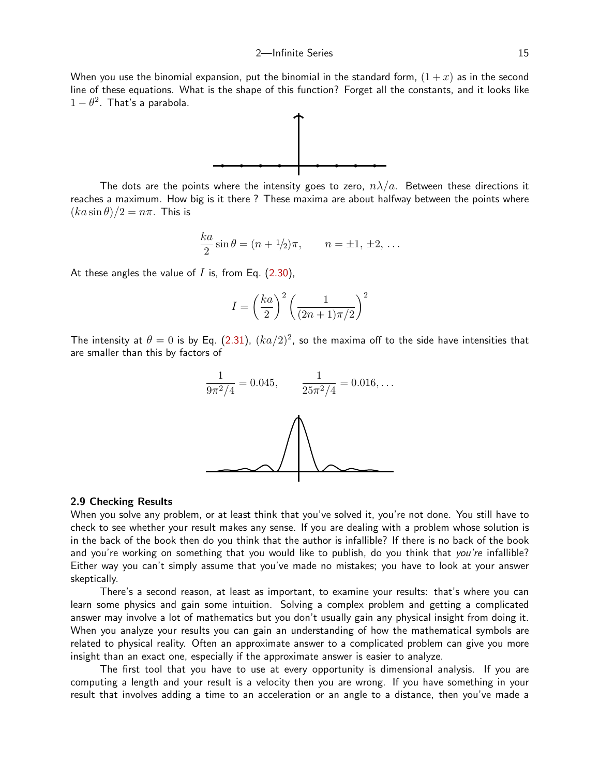When you use the binomial expansion, put the binomial in the standard form,  $(1+x)$  as in the second line of these equations. What is the shape of this function? Forget all the constants, and it looks like  $1-\theta^2$ . That's a parabola.



The dots are the points where the intensity goes to zero,  $n\lambda/a$ . Between these directions it reaches a maximum. How big is it there ? These maxima are about halfway between the points where  $(ka\sin\theta)/2 = n\pi$ . This is

$$
\frac{ka}{2}\sin\theta = (n + 1/2)\pi
$$
,  $n = \pm 1, \pm 2, ...$ 

At these angles the value of  $I$  is, from Eq. ([2.30](#page-13-1)),

$$
I = \left(\frac{ka}{2}\right)^2 \left(\frac{1}{(2n+1)\pi/2}\right)^2
$$

The intensity at  $\theta=0$  is by Eq. ([2.31](#page-13-2)),  $(ka/2)^2$ , so the maxima off to the side have intensities that are smaller than this by factors of



## 2.9 Checking Results

When you solve any problem, or at least think that you've solved it, you're not done. You still have to check to see whether your result makes any sense. If you are dealing with a problem whose solution is in the back of the book then do you think that the author is infallible? If there is no back of the book and you're working on something that you would like to publish, do you think that you're infallible? Either way you can't simply assume that you've made no mistakes; you have to look at your answer skeptically.

There's a second reason, at least as important, to examine your results: that's where you can learn some physics and gain some intuition. Solving a complex problem and getting a complicated answer may involve a lot of mathematics but you don't usually gain any physical insight from doing it. When you analyze your results you can gain an understanding of how the mathematical symbols are related to physical reality. Often an approximate answer to a complicated problem can give you more insight than an exact one, especially if the approximate answer is easier to analyze.

The first tool that you have to use at every opportunity is dimensional analysis. If you are computing a length and your result is a velocity then you are wrong. If you have something in your result that involves adding a time to an acceleration or an angle to a distance, then you've made a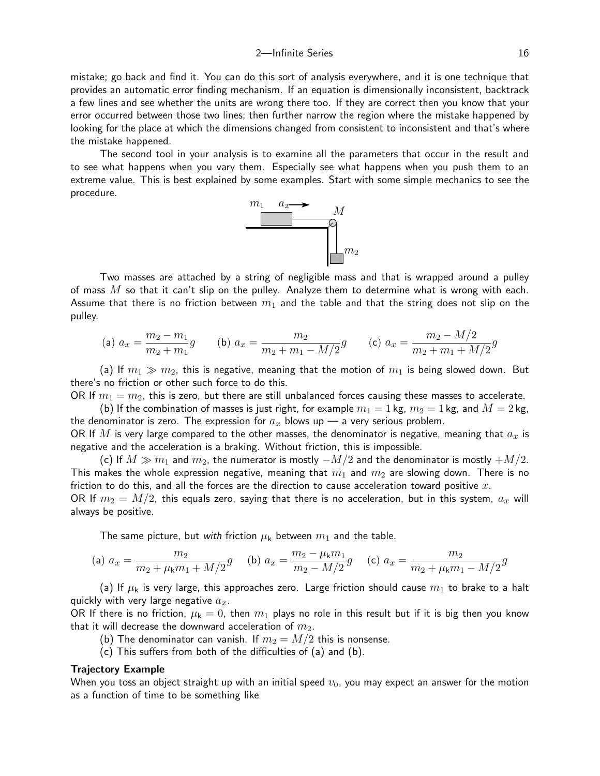mistake; go back and find it. You can do this sort of analysis everywhere, and it is one technique that provides an automatic error finding mechanism. If an equation is dimensionally inconsistent, backtrack a few lines and see whether the units are wrong there too. If they are correct then you know that your error occurred between those two lines; then further narrow the region where the mistake happened by looking for the place at which the dimensions changed from consistent to inconsistent and that's where the mistake happened.

The second tool in your analysis is to examine all the parameters that occur in the result and to see what happens when you vary them. Especially see what happens when you push them to an extreme value. This is best explained by some examples. Start with some simple mechanics to see the procedure.



Two masses are attached by a string of negligible mass and that is wrapped around a pulley of mass  $M$  so that it can't slip on the pulley. Analyze them to determine what is wrong with each. Assume that there is no friction between  $m_1$  and the table and that the string does not slip on the pulley.

(a) 
$$
a_x = \frac{m_2 - m_1}{m_2 + m_1}g
$$
 (b)  $a_x = \frac{m_2}{m_2 + m_1 - M/2}g$  (c)  $a_x = \frac{m_2 - M/2}{m_2 + m_1 + M/2}g$ 

(a) If  $m_1 \gg m_2$ , this is negative, meaning that the motion of  $m_1$  is being slowed down. But there's no friction or other such force to do this.

OR If  $m_1 = m_2$ , this is zero, but there are still unbalanced forces causing these masses to accelerate.

(b) If the combination of masses is just right, for example  $m_1 = 1$  kg,  $m_2 = 1$  kg, and  $M = 2$  kg, the denominator is zero. The expression for  $a_x$  blows up — a very serious problem.

OR If M is very large compared to the other masses, the denominator is negative, meaning that  $a_x$  is negative and the acceleration is a braking. Without friction, this is impossible.

(c) If  $M \gg m_1$  and  $m_2$ , the numerator is mostly  $-M/2$  and the denominator is mostly  $+M/2$ . This makes the whole expression negative, meaning that  $m_1$  and  $m_2$  are slowing down. There is no friction to do this, and all the forces are the direction to cause acceleration toward positive  $x$ . OR If  $m_2 = M/2$ , this equals zero, saying that there is no acceleration, but in this system,  $a_x$  will always be positive.

The same picture, but with friction  $\mu_k$  between  $m_1$  and the table.

(a) 
$$
a_x = \frac{m_2}{m_2 + \mu_k m_1 + M/2} g
$$
 (b)  $a_x = \frac{m_2 - \mu_k m_1}{m_2 - M/2} g$  (c)  $a_x = \frac{m_2}{m_2 + \mu_k m_1 - M/2} g$ 

(a) If  $\mu_k$  is very large, this approaches zero. Large friction should cause  $m_1$  to brake to a halt quickly with very large negative  $a_x$ .

OR If there is no friction,  $\mu_k = 0$ , then  $m_1$  plays no role in this result but if it is big then you know that it will decrease the downward acceleration of  $m_2$ .

- (b) The denominator can vanish. If  $m_2 = M/2$  this is nonsense.
- (c) This suffers from both of the difficulties of (a) and (b).

#### Trajectory Example

When you toss an object straight up with an initial speed  $v_0$ , you may expect an answer for the motion as a function of time to be something like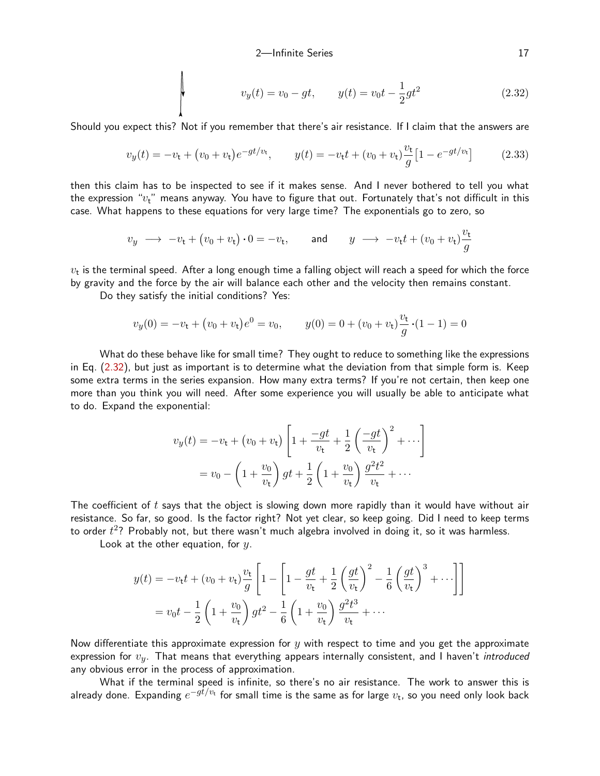<span id="page-16-1"></span><span id="page-16-0"></span>
$$
v_y(t) = v_0 - gt, \qquad y(t) = v_0 t - \frac{1}{2}gt^2 \tag{2.32}
$$

Should you expect this? Not if you remember that there's air resistance. If I claim that the answers are

$$
v_y(t) = -v_t + (v_0 + v_t)e^{-gt/v_t}, \t y(t) = -v_t t + (v_0 + v_t)\frac{v_t}{g}[1 - e^{-gt/v_t}] \t (2.33)
$$

then this claim has to be inspected to see if it makes sense. And I never bothered to tell you what the expression " $v_t$ " means anyway. You have to figure that out. Fortunately that's not difficult in this case. What happens to these equations for very large time? The exponentials go to zero, so

$$
v_y \rightarrow -v_t + (v_0 + v_t) \cdot 0 = -v_t
$$
, and  $y \rightarrow -v_t t + (v_0 + v_t) \frac{v_t}{g}$ 

 $v_{\rm t}$  is the terminal speed. After a long enough time a falling object will reach a speed for which the force by gravity and the force by the air will balance each other and the velocity then remains constant.

Do they satisfy the initial conditions? Yes:

$$
v_y(0) = -v_t + (v_0 + v_t)e^0 = v_0, \qquad y(0) = 0 + (v_0 + v_t)\frac{v_t}{g} \cdot (1 - 1) = 0
$$

What do these behave like for small time? They ought to reduce to something like the expressions in Eq. ([2.32](#page-16-0)), but just as important is to determine what the deviation from that simple form is. Keep some extra terms in the series expansion. How many extra terms? If you're not certain, then keep one more than you think you will need. After some experience you will usually be able to anticipate what to do. Expand the exponential:

$$
v_y(t) = -v_t + (v_0 + v_t) \left[ 1 + \frac{-gt}{v_t} + \frac{1}{2} \left( \frac{-gt}{v_t} \right)^2 + \cdots \right]
$$
  
=  $v_0 - \left( 1 + \frac{v_0}{v_t} \right) gt + \frac{1}{2} \left( 1 + \frac{v_0}{v_t} \right) \frac{g^2 t^2}{v_t} + \cdots$ 

The coefficient of  $t$  says that the object is slowing down more rapidly than it would have without air resistance. So far, so good. Is the factor right? Not yet clear, so keep going. Did I need to keep terms to order  $t^2$ ? Probably not, but there wasn't much algebra involved in doing it, so it was harmless.

Look at the other equation, for  $y$ .

$$
y(t) = -v_t t + (v_0 + v_t) \frac{v_t}{g} \left[ 1 - \left[ 1 - \frac{gt}{v_t} + \frac{1}{2} \left( \frac{gt}{v_t} \right)^2 - \frac{1}{6} \left( \frac{gt}{v_t} \right)^3 + \cdots \right] \right]
$$
  
=  $v_0 t - \frac{1}{2} \left( 1 + \frac{v_0}{v_t} \right) gt^2 - \frac{1}{6} \left( 1 + \frac{v_0}{v_t} \right) \frac{g^2 t^3}{v_t} + \cdots$ 

Now differentiate this approximate expression for  $y$  with respect to time and you get the approximate expression for  $v_y$ . That means that everything appears internally consistent, and I haven't introduced any obvious error in the process of approximation.

What if the terminal speed is infinite, so there's no air resistance. The work to answer this is already done. Expanding  $e^{-g\dot{t}/v_{\rm t}}$  for small time is the same as for large  $v_{\rm t}$ , so you need only look back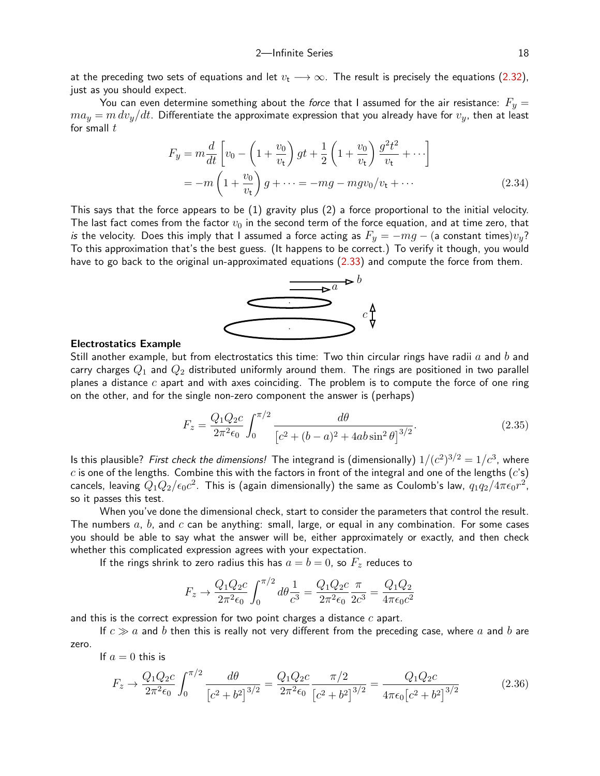at the preceding two sets of equations and let  $v_t \rightarrow \infty$ . The result is precisely the equations [\(2.32](#page-16-0)), just as you should expect.

You can even determine something about the force that I assumed for the air resistance:  $F_y =$  $ma_y = m dv_y/dt$ . Differentiate the approximate expression that you already have for  $v_y$ , then at least for small  $t$ 

$$
F_y = m\frac{d}{dt}\left[v_0 - \left(1 + \frac{v_0}{v_\mathrm{t}}\right)gt + \frac{1}{2}\left(1 + \frac{v_0}{v_\mathrm{t}}\right)\frac{g^2t^2}{v_\mathrm{t}} + \cdots\right]
$$

$$
= -m\left(1 + \frac{v_0}{v_\mathrm{t}}\right)g + \cdots = -mg - mgv_0/v_\mathrm{t} + \cdots \tag{2.34}
$$

This says that the force appears to be (1) gravity plus (2) a force proportional to the initial velocity. The last fact comes from the factor  $v_0$  in the second term of the force equation, and at time zero, that is the velocity. Does this imply that I assumed a force acting as  $F_y = -mg - ($ a constant times) $v_y$ ? To this approximation that's the best guess. (It happens to be correct.) To verify it though, you would have to go back to the original un-approximated equations [\(2.33](#page-16-1)) and compute the force from them.

<span id="page-17-2"></span>

## Electrostatics Example

Still another example, but from electrostatics this time: Two thin circular rings have radii  $a$  and  $b$  and carry charges  $Q_1$  and  $Q_2$  distributed uniformly around them. The rings are positioned in two parallel planes a distance  $c$  apart and with axes coinciding. The problem is to compute the force of one ring on the other, and for the single non-zero component the answer is (perhaps)

<span id="page-17-1"></span>
$$
F_z = \frac{Q_1 Q_2 c}{2\pi^2 \epsilon_0} \int_0^{\pi/2} \frac{d\theta}{\left[c^2 + (b-a)^2 + 4ab\sin^2\theta\right]^{3/2}}.
$$
 (2.35)

Is this plausible? *First check the dimensions!* The integrand is (dimensionally)  $1/(c^2)^{3/2} = 1/c^3$ , where  $c$  is one of the lengths. Combine this with the factors in front of the integral and one of the lengths  $(c's)$ cancels, leaving  $Q_1Q_2/\epsilon_0c^2$ . This is (again dimensionally) the same as Coulomb's law,  $q_1q_2/4\pi\epsilon_0r^2$ , so it passes this test.

When you've done the dimensional check, start to consider the parameters that control the result. The numbers  $a, b$ , and  $c$  can be anything: small, large, or equal in any combination. For some cases you should be able to say what the answer will be, either approximately or exactly, and then check whether this complicated expression agrees with your expectation.

If the rings shrink to zero radius this has  $a = b = 0$ , so  $F<sub>z</sub>$  reduces to

<span id="page-17-0"></span>
$$
F_z \rightarrow \frac{Q_1 Q_2 c}{2\pi^2 \epsilon_0} \int_0^{\pi/2} d\theta \frac{1}{c^3} = \frac{Q_1 Q_2 c}{2\pi^2 \epsilon_0} \frac{\pi}{2c^3} = \frac{Q_1 Q_2}{4\pi \epsilon_0 c^2}
$$

and this is the correct expression for two point charges a distance  $c$  apart.

If  $c \gg a$  and b then this is really not very different from the preceding case, where a and b are zero.

If  $a = 0$  this is

$$
F_z \to \frac{Q_1 Q_2 c}{2\pi^2 \epsilon_0} \int_0^{\pi/2} \frac{d\theta}{\left[c^2 + b^2\right]^{3/2}} = \frac{Q_1 Q_2 c}{2\pi^2 \epsilon_0} \frac{\pi/2}{\left[c^2 + b^2\right]^{3/2}} = \frac{Q_1 Q_2 c}{4\pi \epsilon_0 \left[c^2 + b^2\right]^{3/2}}\tag{2.36}
$$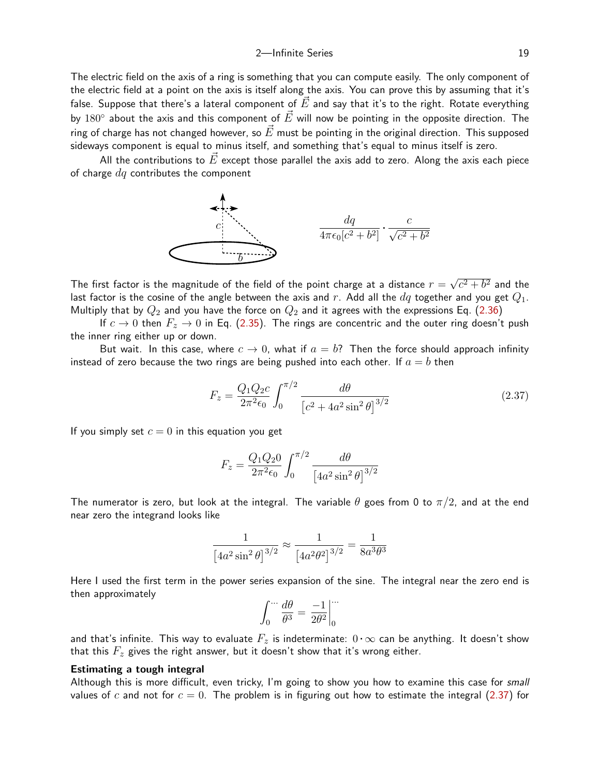The electric field on the axis of a ring is something that you can compute easily. The only component of the electric field at a point on the axis is itself along the axis. You can prove this by assuming that it's false. Suppose that there's a lateral component of  $\vec{E}$  and say that it's to the right. Rotate everything by  $180^\circ$  about the axis and this component of  $\vec{E}$  will now be pointing in the opposite direction. The ring of charge has not changed however, so  $\vec{E}$  must be pointing in the original direction. This supposed sideways component is equal to minus itself, and something that's equal to minus itself is zero.

All the contributions to  $E$  except those parallel the axis add to zero. Along the axis each piece of charge  $dq$  contributes the component



The first factor is the magnitude of the field of the point charge at a distance  $r = \frac{1}{2}$ √  $\overline{c^2+b^2}$  and the last factor is the cosine of the angle between the axis and r. Add all the  $dq$  together and you get  $Q_1$ . Multiply that by  $Q_2$  and you have the force on  $Q_2$  and it agrees with the expressions Eq. [\(2.36](#page-17-0))

If  $c \to 0$  then  $F_z \to 0$  in Eq. [\(2.35](#page-17-1)). The rings are concentric and the outer ring doesn't push the inner ring either up or down.

But wait. In this case, where  $c \to 0$ , what if  $a = b$ ? Then the force should approach infinity instead of zero because the two rings are being pushed into each other. If  $a = b$  then

$$
F_z = \frac{Q_1 Q_2 c}{2\pi^2 \epsilon_0} \int_0^{\pi/2} \frac{d\theta}{\left[c^2 + 4a^2 \sin^2 \theta\right]^{3/2}}\tag{2.37}
$$

If you simply set  $c = 0$  in this equation you get

<span id="page-18-0"></span>
$$
F_z = \frac{Q_1 Q_2 0}{2\pi^2 \epsilon_0} \int_0^{\pi/2} \frac{d\theta}{\left[4a^2 \sin^2 \theta\right]^{3/2}}
$$

The numerator is zero, but look at the integral. The variable  $\theta$  goes from 0 to  $\pi/2$ , and at the end near zero the integrand looks like

$$
\frac{1}{\left[4a^2\sin^2\theta\right]^{3/2}} \approx \frac{1}{\left[4a^2\theta^2\right]^{3/2}} = \frac{1}{8a^3\theta^3}
$$

Here I used the first term in the power series expansion of the sine. The integral near the zero end is then approximately

$$
\int_0^{\cdots} \frac{d\theta}{\theta^3} = \left. \frac{-1}{2\theta^2} \right|_0^{\cdots}
$$

and that's infinite. This way to evaluate  $F_z$  is indeterminate:  $0 \cdot \infty$  can be anything. It doesn't show that this  $F_z$  gives the right answer, but it doesn't show that it's wrong either.

## Estimating a tough integral

Although this is more difficult, even tricky, I'm going to show you how to examine this case for *small* values of c and not for  $c = 0$ . The problem is in figuring out how to estimate the integral ([2.37](#page-18-0)) for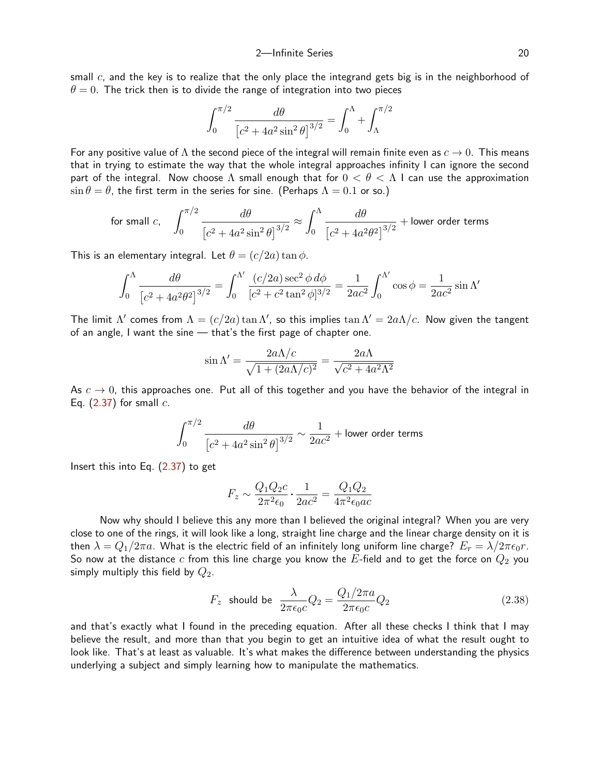small  $c$ , and the key is to realize that the only place the integrand gets big is in the neighborhood of  $\theta = 0$ . The trick then is to divide the range of integration into two pieces

$$
\int_0^{\pi/2} \frac{d\theta}{\left[c^2 + 4a^2 \sin^2 \theta\right]^{3/2}} = \int_0^{\Lambda} + \int_{\Lambda}^{\pi/2}
$$

For any positive value of  $\Lambda$  the second piece of the integral will remain finite even as  $c \to 0$ . This means that in trying to estimate the way that the whole integral approaches infinity I can ignore the second part of the integral. Now choose  $\Lambda$  small enough that for  $0 < \theta < \Lambda$  I can use the approximation  $\sin \theta = \theta$ , the first term in the series for sine. (Perhaps  $\Lambda = 0.1$  or so.)

for small c, 
$$
\int_0^{\pi/2} \frac{d\theta}{\left[c^2 + 4a^2\sin^2\theta\right]^{3/2}} \approx \int_0^{\Lambda} \frac{d\theta}{\left[c^2 + 4a^2\theta^2\right]^{3/2}} + \text{lower order terms}
$$

This is an elementary integral. Let  $\theta = (c/2a) \tan \phi$ .

$$
\int_0^{\Lambda} \frac{d\theta}{\left[c^2 + 4a^2\theta^2\right]^{3/2}} = \int_0^{\Lambda'} \frac{(c/2a)\sec^2\phi \,d\phi}{\left[c^2 + c^2\tan^2\phi\right]^{3/2}} = \frac{1}{2ac^2} \int_0^{\Lambda'} \cos\phi = \frac{1}{2ac^2} \sin\Lambda'
$$

The limit  $\Lambda'$  comes from  $\Lambda = (c/2a) \tan \Lambda'$ , so this implies  $\tan \Lambda' = 2a\Lambda/c$ . Now given the tangent of an angle, I want the sine — that's the first page of chapter one.

$$
\sin \Lambda' = \frac{2a\Lambda/c}{\sqrt{1 + (2a\Lambda/c)^2}} = \frac{2a\Lambda}{\sqrt{c^2 + 4a^2\Lambda^2}}
$$

As  $c \to 0$ , this approaches one. Put all of this together and you have the behavior of the integral in Eq.  $(2.37)$  $(2.37)$  for small  $c$ .

$$
\int_0^{\pi/2} \frac{d\theta}{\left[c^2 + 4a^2 \sin^2 \theta\right]^{3/2}} \sim \frac{1}{2ac^2} + \text{lower order terms}
$$

Insert this into Eq. ([2.37](#page-18-0)) to get

$$
F_z \sim \frac{Q_1 Q_2 c}{2\pi^2 \epsilon_0} \cdot \frac{1}{2ac^2} = \frac{Q_1 Q_2}{4\pi^2 \epsilon_0 ac}
$$

Now why should I believe this any more than I believed the original integral? When you are very close to one of the rings, it will look like a long, straight line charge and the linear charge density on it is then  $\lambda = Q_1/2\pi a$ . What is the electric field of an infinitely long uniform line charge?  $E_r = \lambda/2\pi\epsilon_0 r$ . So now at the distance  $c$  from this line charge you know the  $E$ -field and to get the force on  $Q_2$  you simply multiply this field by  $Q_2$ .

$$
F_z \text{ should be } \frac{\lambda}{2\pi\epsilon_0 c} Q_2 = \frac{Q_1/2\pi a}{2\pi\epsilon_0 c} Q_2 \tag{2.38}
$$

and that's exactly what I found in the preceding equation. After all these checks I think that I may believe the result, and more than that you begin to get an intuitive idea of what the result ought to look like. That's at least as valuable. It's what makes the difference between understanding the physics underlying a subject and simply learning how to manipulate the mathematics.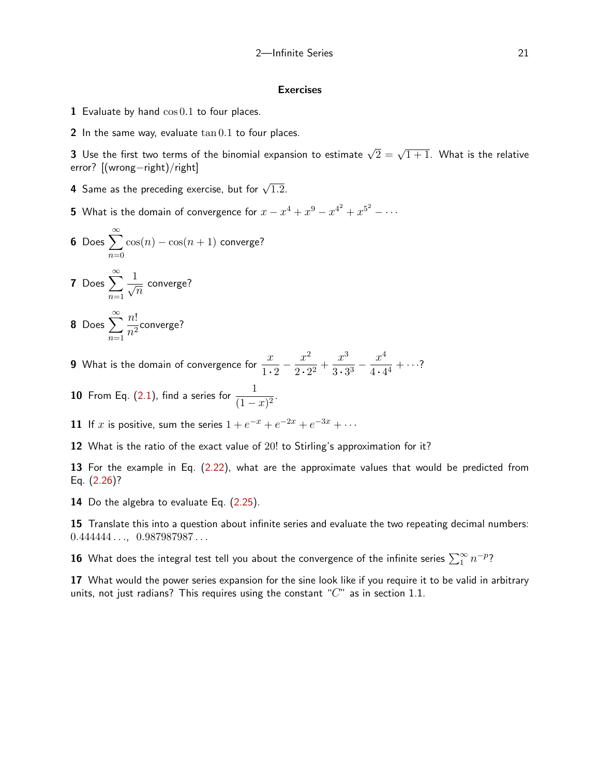#### Exercises

- **1** Evaluate by hand  $\cos 0.1$  to four places.
- 2 In the same way, evaluate  $\tan 0.1$  to four places.

 ${\bf 3}$  Use the first two terms of the binomial expansion to estimate  $\sqrt{2}=\sqrt{1+1}.$  What is the relative error? [(wrong−right)/right]

- **4** Same as the preceding exercise, but for  $\sqrt{1.2}$ .
- 5 What is the domain of convergence for  $x-x^4+x^9-x^{4^2}+x^{5^2}-\cdots$

**6** Does 
$$
\sum_{n=0}^{\infty} \cos(n) - \cos(n+1)
$$
 converge?

7 Does 
$$
\sum_{n=1}^{\infty} \frac{1}{\sqrt{n}}
$$
 converge?

**8** Does 
$$
\sum_{n=1}^{\infty} \frac{n!}{n^2}
$$
 converge?

**9** What is the domain of convergence for  $\frac{x}{1 \cdot 2} - \frac{x^2}{2 \cdot 2}$  $\frac{x^2}{2 \cdot 2^2} + \frac{x^3}{3 \cdot 3}$  $rac{x^3}{3 \cdot 3^3} - \frac{x^4}{4 \cdot 4}$  $\frac{1}{4 \cdot 4^4} + \cdots$ ?

**10** From Eq. ([2.1\)](#page-0-1), find a series for  $\frac{1}{(1-x)^2}$ .

11 If x is positive, sum the series  $1 + e^{-x} + e^{-2x} + e^{-3x} + \cdots$ 

12 What is the ratio of the exact value of 20! to Stirling's approximation for it?

13 For the example in Eq. [\(2.22](#page-9-1)), what are the approximate values that would be predicted from Eq. [\(2.26](#page-10-0))?

14 Do the algebra to evaluate Eq. ([2.25](#page-10-1)).

15 Translate this into a question about infinite series and evaluate the two repeating decimal numbers:  $0.444444...$ ,  $0.987987987...$ 

 ${\bf 16}$  What does the integral test tell you about the convergence of the infinite series  $\sum_1^{\infty} n^{-p}$ ?

17 What would the power series expansion for the sine look like if you require it to be valid in arbitrary units, not just radians? This requires using the constant " $C$ " as in section 1.1.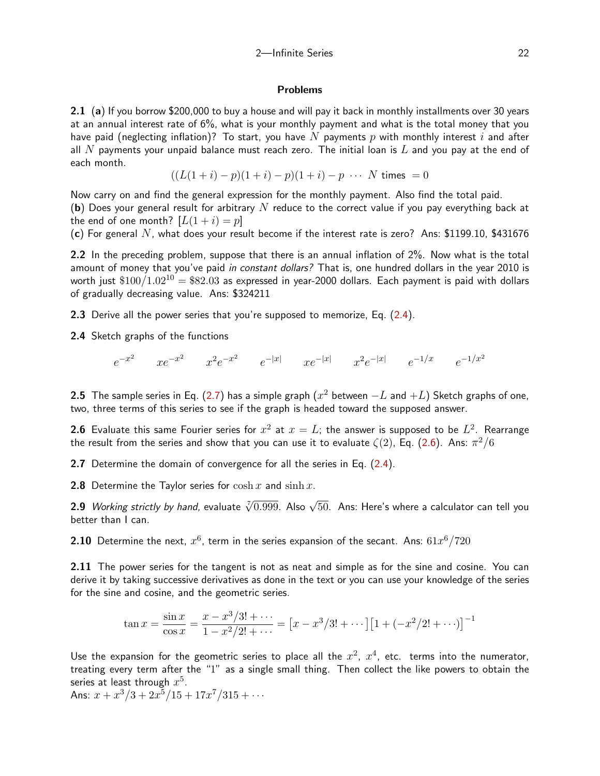## Problems

2.1 (a) If you borrow \$200,000 to buy a house and will pay it back in monthly installments over 30 years at an annual interest rate of 6%, what is your monthly payment and what is the total money that you have paid (neglecting inflation)? To start, you have N payments p with monthly interest i and after all  $N$  payments your unpaid balance must reach zero. The initial loan is  $L$  and you pay at the end of each month.

$$
((L(1+i)-p)(1+i)-p)(1+i)-p \cdots N \text{ times } = 0
$$

Now carry on and find the general expression for the monthly payment. Also find the total paid. (b) Does your general result for arbitrary N reduce to the correct value if you pay everything back at the end of one month?  $[L(1+i) = p]$ 

(c) For general N, what does your result become if the interest rate is zero? Ans: \$1199.10, \$431676

2.2 In the preceding problem, suppose that there is an annual inflation of 2%. Now what is the total amount of money that you've paid in constant dollars? That is, one hundred dollars in the year 2010 is worth just  $$100/1.02^{10} = $82.03$  as expressed in year-2000 dollars. Each payment is paid with dollars of gradually decreasing value. Ans: \$324211

2.3 Derive all the power series that you're supposed to memorize, Eq. [\(2.4\)](#page-0-0).

2.4 Sketch graphs of the functions

e −x 2 xe<sup>−</sup><sup>x</sup> 2 x 2 e −x 2 e −|x<sup>|</sup> xe−|x<sup>|</sup> x 2 e −|x| e <sup>−</sup>1/x e −1/x<sup>2</sup>

**2.5** The sample series in Eq. ([2.7\)](#page-2-1) has a simple graph ( $x^2$  between  $-L$  and  $+L$ ) Sketch graphs of one, two, three terms of this series to see if the graph is headed toward the supposed answer.

**2.6** Evaluate this same Fourier series for  $x^2$  at  $x=L$ ; the answer is supposed to be  $L^2$ . Rearrange the result from the series and show that you can use it to evaluate  $\zeta(2)$ , Eq. ([2.6\)](#page-2-2). Ans:  $\pi^2/6$ 

2.7 Determine the domain of convergence for all the series in Eq. [\(2.4\)](#page-0-0).

**2.8** Determine the Taylor series for  $\cosh x$  and  $\sinh x$ .

 ${\bf 2.9}$  *Working strictly by hand,* evaluate  $\sqrt[r]{0.999}$ . Also  $\sqrt{50}$ . Ans: Here's where a calculator can tell you better than I can.

<span id="page-21-0"></span> $\bf 2.10$  Determine the next,  $x^6$ , term in the series expansion of the secant. Ans:  $61x^6/720$ 

2.11 The power series for the tangent is not as neat and simple as for the sine and cosine. You can derive it by taking successive derivatives as done in the text or you can use your knowledge of the series for the sine and cosine, and the geometric series.

$$
\tan x = \frac{\sin x}{\cos x} = \frac{x - x^3/3! + \cdots}{1 - x^2/2! + \cdots} = \left[x - x^3/3! + \cdots\right] \left[1 + \left(-x^2/2! + \cdots\right)\right]^{-1}
$$

Use the expansion for the geometric series to place all the  $x^2$ ,  $x^4$ , etc. terms into the numerator, treating every term after the "1" as a single small thing. Then collect the like powers to obtain the series at least through  $x^5.$ 

Ans:  $x + x^3/3 + 2x^5/15 + 17x^7/315 + \cdots$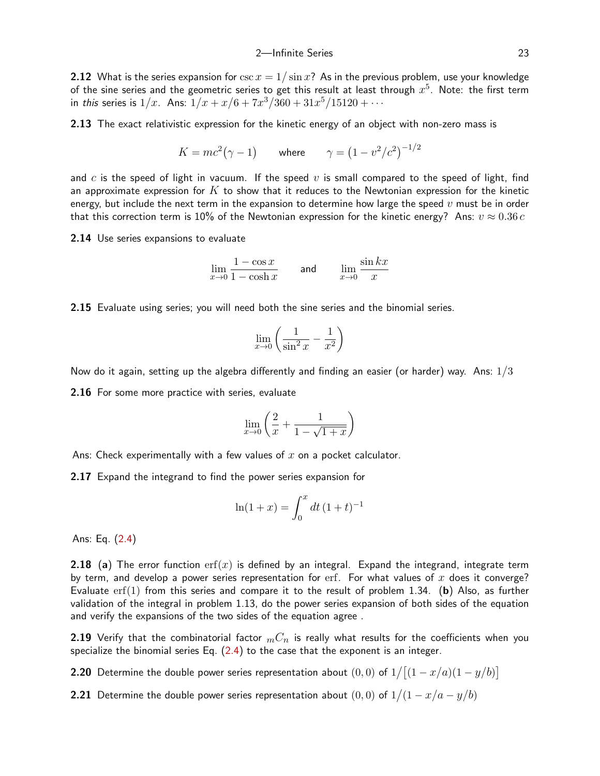2.12 What is the series expansion for  $\csc x = 1/\sin x$ ? As in the previous problem, use your knowledge of the sine series and the geometric series to get this result at least through  $x^5$ . Note: the first term in *this s*eries is  $1/x$ . Ans:  $1/x + x/6 + 7x^3/360 + 31x^5/15120 + \cdots$ 

2.13 The exact relativistic expression for the kinetic energy of an object with non-zero mass is

$$
K = mc^2(\gamma - 1)
$$
 where  $\gamma = (1 - v^2/c^2)^{-1/2}$ 

and c is the speed of light in vacuum. If the speed v is small compared to the speed of light, find an approximate expression for  $K$  to show that it reduces to the Newtonian expression for the kinetic energy, but include the next term in the expansion to determine how large the speed  $v$  must be in order that this correction term is 10% of the Newtonian expression for the kinetic energy? Ans:  $v \approx 0.36 c$ 

2.14 Use series expansions to evaluate

$$
\lim_{x \to 0} \frac{1 - \cos x}{1 - \cosh x} \qquad \text{and} \qquad \lim_{x \to 0} \frac{\sin kx}{x}
$$

<span id="page-22-1"></span>2.15 Evaluate using series; you will need both the sine series and the binomial series.

$$
\lim_{x \to 0} \left( \frac{1}{\sin^2 x} - \frac{1}{x^2} \right)
$$

Now do it again, setting up the algebra differently and finding an easier (or harder) way. Ans:  $1/3$ 

2.16 For some more practice with series, evaluate

$$
\lim_{x \to 0} \left( \frac{2}{x} + \frac{1}{1 - \sqrt{1 + x}} \right)
$$

Ans: Check experimentally with a few values of  $x$  on a pocket calculator.

2.17 Expand the integrand to find the power series expansion for

$$
\ln(1+x) = \int_0^x dt (1+t)^{-1}
$$

<span id="page-22-0"></span>Ans: Eq. ([2.4\)](#page-0-0)

**2.18** (a) The error function  $\text{erf}(x)$  is defined by an integral. Expand the integrand, integrate term by term, and develop a power series representation for  $erf$ . For what values of x does it converge? Evaluate  $\text{erf}(1)$  from this series and compare it to the result of problem 1.34. (b) Also, as further validation of the integral in problem 1.13, do the power series expansion of both sides of the equation and verify the expansions of the two sides of the equation agree .

**2.19** Verify that the combinatorial factor  ${}_{m}C_{n}$  is really what results for the coefficients when you specialize the binomial series Eq.  $(2.4)$  $(2.4)$  to the case that the exponent is an integer.

**2.20** Determine the double power series representation about  $(0,0)$  of  $1/[(1-x/a)(1-y/b)]$ 

**2.21** Determine the double power series representation about  $(0,0)$  of  $1/(1-x/a-y/b)$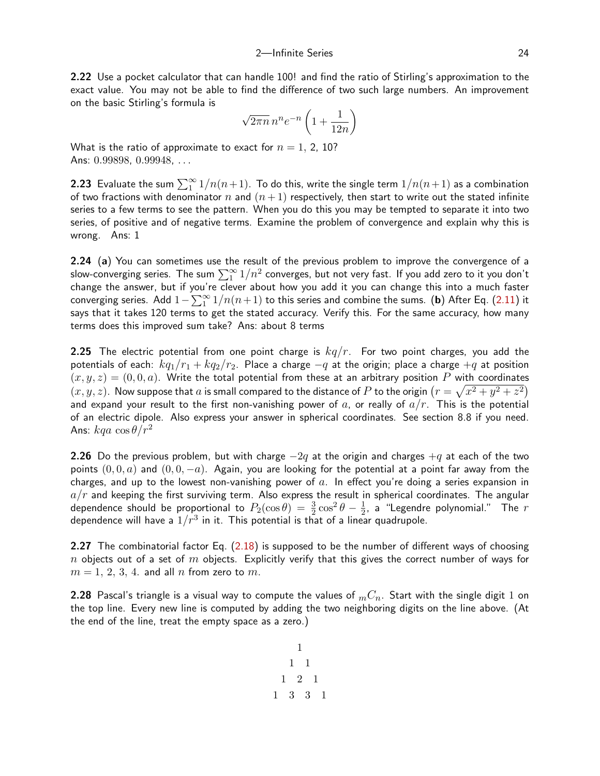2.22 Use a pocket calculator that can handle 100! and find the ratio of Stirling's approximation to the exact value. You may not be able to find the difference of two such large numbers. An improvement on the basic Stirling's formula is

$$
\sqrt{2\pi n}\,n^n e^{-n}\left(1+\frac{1}{12n}\right)
$$

What is the ratio of approximate to exact for  $n = 1, 2, 10$ ? Ans: 0.99898, 0.99948, ...

**2.23** Evaluate the sum  $\sum_1^{\infty} 1/n(n+1)$ . To do this, write the single term  $1/n(n+1)$  as a combination of two fractions with denominator n and  $(n+1)$  respectively, then start to write out the stated infinite series to a few terms to see the pattern. When you do this you may be tempted to separate it into two series, of positive and of negative terms. Examine the problem of convergence and explain why this is wrong. Ans: 1

<span id="page-23-0"></span>2.24 (a) You can sometimes use the result of the previous problem to improve the convergence of a slow-converging series. The sum  $\sum_1^{\infty}1/n^2$  converges, but not very fast. If you add zero to it you don't change the answer, but if you're clever about how you add it you can change this into a much faster converging series. Add  $1-\sum_1^{\infty}1/n(n+1)$  to this series and combine the sums. (b) After Eq. ([2.11](#page-4-0)) it says that it takes 120 terms to get the stated accuracy. Verify this. For the same accuracy, how many terms does this improved sum take? Ans: about 8 terms

2.25 The electric potential from one point charge is  $kq/r$ . For two point charges, you add the potentials of each:  $kq_1/r_1 + kq_2/r_2$ . Place a charge  $-q$  at the origin; place a charge  $+q$  at position  $(x, y, z) = (0, 0, a)$ . Write the total potential from these at an arbitrary position P with coordinates  $(x,y,z)$ . Now suppose that  $a$  is small compared to the distance of  $P$  to the origin  $(r=\sqrt{x^2+y^2+z^2})$ and expand your result to the first non-vanishing power of a, or really of  $a/r$ . This is the potential of an electric dipole. Also express your answer in spherical coordinates. See section 8.8 if you need. Ans:  $kqa \cos \theta/r^2$ 

2.26 Do the previous problem, but with charge  $-2q$  at the origin and charges  $+q$  at each of the two points  $(0, 0, a)$  and  $(0, 0, -a)$ . Again, you are looking for the potential at a point far away from the charges, and up to the lowest non-vanishing power of  $a$ . In effect you're doing a series expansion in  $a/r$  and keeping the first surviving term. Also express the result in spherical coordinates. The angular dependence should be proportional to  $P_2(\cos\theta) \,=\, \frac{3}{2}\cos^2\theta \,-\, \frac{1}{2}$  $\frac{1}{2}$ , a "Legendre polynomial." The  $r$ dependence will have a  $1/r^3$  in it. This potential is that of a linear quadrupole.

<span id="page-23-1"></span>2.27 The combinatorial factor Eq. ([2.18](#page-7-2)) is supposed to be the number of different ways of choosing  $n$  objects out of a set of  $m$  objects. Explicitly verify that this gives the correct number of ways for  $m = 1, 2, 3, 4$ . and all n from zero to m.

**2.28** Pascal's triangle is a visual way to compute the values of  $mC_n$ . Start with the single digit 1 on the top line. Every new line is computed by adding the two neighboring digits on the line above. (At the end of the line, treat the empty space as a zero.)

1 1 1 1 2 1 1 3 3 1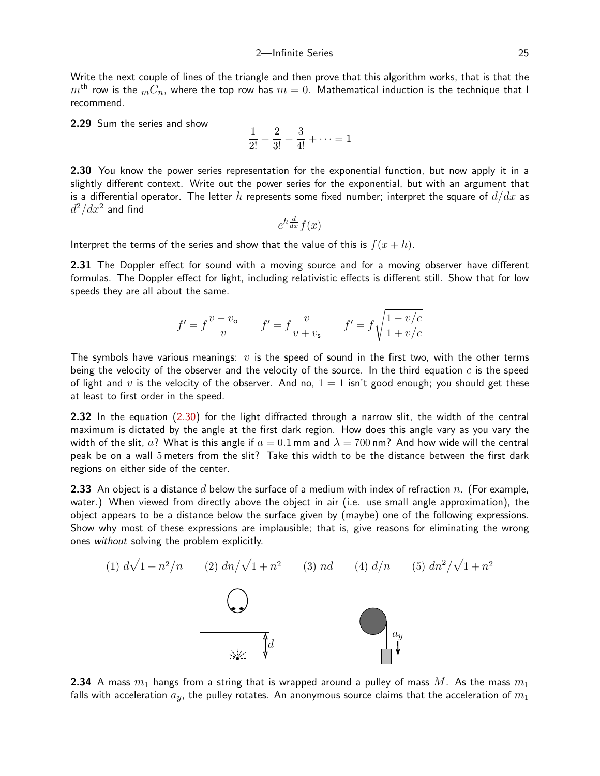Write the next couple of lines of the triangle and then prove that this algorithm works, that is that the  $m<sup>th</sup>$  row is the  $mC_n$ , where the top row has  $m = 0$ . Mathematical induction is the technique that I recommend.

2.29 Sum the series and show

$$
\frac{1}{2!} + \frac{2}{3!} + \frac{3}{4!} + \dots = 1
$$

2.30 You know the power series representation for the exponential function, but now apply it in a slightly different context. Write out the power series for the exponential, but with an argument that is a differential operator. The letter h represents some fixed number; interpret the square of  $d/dx$  as  $d^2/dx^2$  and find

$$
e^{h\frac{d}{dx}}f(x)
$$

Interpret the terms of the series and show that the value of this is  $f(x+h)$ .

2.31 The Doppler effect for sound with a moving source and for a moving observer have different formulas. The Doppler effect for light, including relativistic effects is different still. Show that for low speeds they are all about the same.

$$
f' = f\frac{v - v_{\mathsf{o}}}{v} \qquad f' = f\frac{v}{v + v_{\mathsf{s}}} \qquad f' = f\sqrt{\frac{1 - v/c}{1 + v/c}}
$$

The symbols have various meanings:  $v$  is the speed of sound in the first two, with the other terms being the velocity of the observer and the velocity of the source. In the third equation  $c$  is the speed of light and v is the velocity of the observer. And no,  $1 = 1$  isn't good enough; you should get these at least to first order in the speed.

2.32 In the equation [\(2.30](#page-13-1)) for the light diffracted through a narrow slit, the width of the central maximum is dictated by the angle at the first dark region. How does this angle vary as you vary the width of the slit, a? What is this angle if  $a = 0.1$  mm and  $\lambda = 700$  nm? And how wide will the central peak be on a wall 5 meters from the slit? Take this width to be the distance between the first dark regions on either side of the center.

**2.33** An object is a distance d below the surface of a medium with index of refraction  $n$ . (For example, water.) When viewed from directly above the object in air (i.e. use small angle approximation), the object appears to be a distance below the surface given by (maybe) one of the following expressions. Show why most of these expressions are implausible; that is, give reasons for eliminating the wrong ones without solving the problem explicitly.



**2.34** A mass  $m_1$  hangs from a string that is wrapped around a pulley of mass  $M$ . As the mass  $m_1$ falls with acceleration  $a_y$ , the pulley rotates. An anonymous source claims that the acceleration of  $m_1$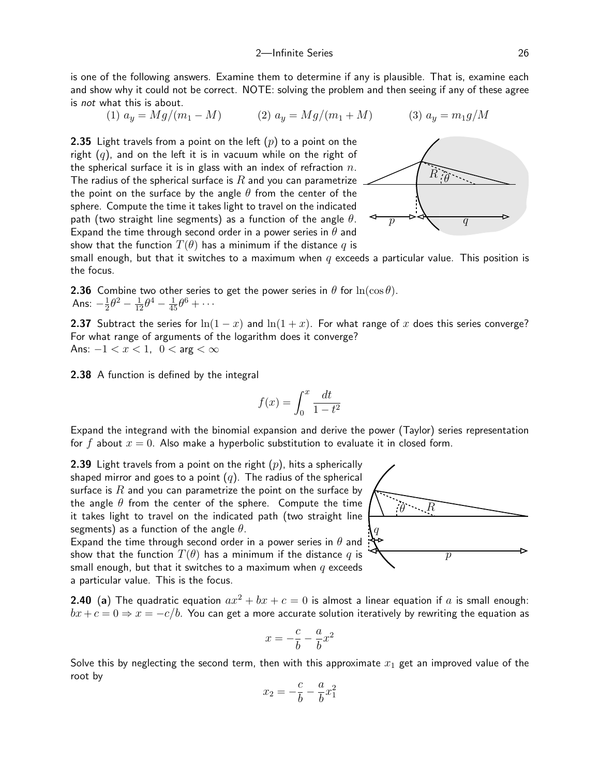is one of the following answers. Examine them to determine if any is plausible. That is, examine each and show why it could not be correct. NOTE: solving the problem and then seeing if any of these agree is not what this is about.

(1) 
$$
a_y = Mg/(m_1 - M)
$$
   
 (2)  $a_y = Mg/(m_1 + M)$    
 (3)  $a_y = m_1 g/M$ 

**2.35** Light travels from a point on the left  $(p)$  to a point on the right  $(q)$ , and on the left it is in vacuum while on the right of the spherical surface it is in glass with an index of refraction  $n$ . The radius of the spherical surface is  $R$  and you can parametrize the point on the surface by the angle  $\theta$  from the center of the sphere. Compute the time it takes light to travel on the indicated path (two straight line segments) as a function of the angle  $\theta$ . Expand the time through second order in a power series in  $\theta$  and show that the function  $T(\theta)$  has a minimum if the distance q is



small enough, but that it switches to a maximum when  $q$  exceeds a particular value. This position is the focus.

**2.36** Combine two other series to get the power series in  $\theta$  for  $\ln(\cos \theta)$ . Ans:  $-\frac{1}{2}$  $\frac{1}{2}\theta^2 - \frac{1}{12}\theta^4 - \frac{1}{45}\theta^6 + \cdots$ 

2.37 Subtract the series for  $\ln(1-x)$  and  $\ln(1+x)$ . For what range of x does this series converge? For what range of arguments of the logarithm does it converge? Ans:  $-1 < x < 1$ ,  $0 < \arg < \infty$ 

<span id="page-25-0"></span>2.38 A function is defined by the integral

$$
f(x) = \int_0^x \frac{dt}{1 - t^2}
$$

Expand the integrand with the binomial expansion and derive the power (Taylor) series representation for f about  $x = 0$ . Also make a hyperbolic substitution to evaluate it in closed form.

**2.39** Light travels from a point on the right  $(p)$ , hits a spherically shaped mirror and goes to a point  $(q)$ . The radius of the spherical surface is  $R$  and you can parametrize the point on the surface by the angle  $\theta$  from the center of the sphere. Compute the time it takes light to travel on the indicated path (two straight line segments) as a function of the angle  $\theta$ .

Expand the time through second order in a power series in  $\theta$  and show that the function  $T(\theta)$  has a minimum if the distance q is small enough, but that it switches to a maximum when  $q$  exceeds a particular value. This is the focus.

**2.40** (a) The quadratic equation  $ax^2 + bx + c = 0$  is almost a linear equation if a is small enough:  $bx + c = 0 \Rightarrow x = -c/b$ . You can get a more accurate solution iteratively by rewriting the equation as

$$
x = -\frac{c}{b} - \frac{a}{b}x^2
$$

Solve this by neglecting the second term, then with this approximate  $x_1$  get an improved value of the root by

$$
x_2=-\frac{c}{b}-\frac{a}{b}x_1^2
$$

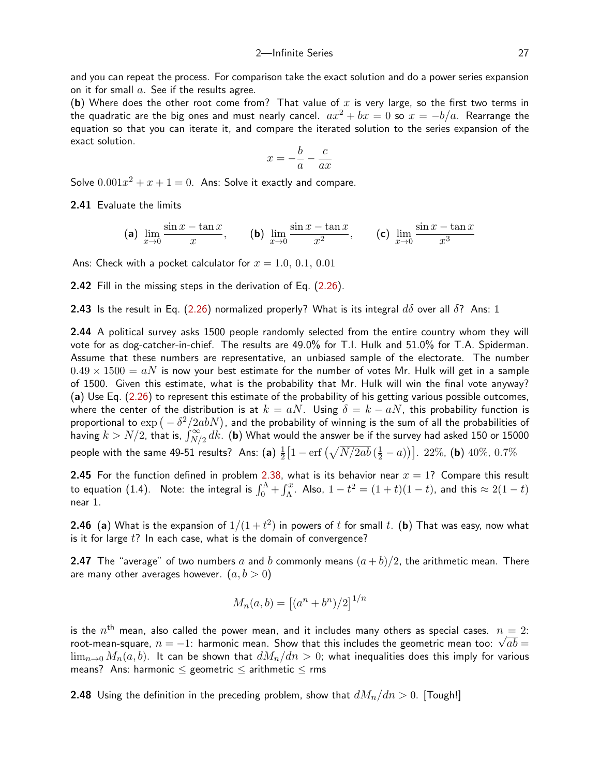and you can repeat the process. For comparison take the exact solution and do a power series expansion on it for small  $a$ . See if the results agree.

(b) Where does the other root come from? That value of  $x$  is very large, so the first two terms in the quadratic are the big ones and must nearly cancel.  $ax^2 + bx = 0$  so  $x = -b/a$ . Rearrange the equation so that you can iterate it, and compare the iterated solution to the series expansion of the exact solution.

$$
x = -\frac{b}{a} - \frac{c}{ax}
$$

Solve  $0.001x^2 + x + 1 = 0$ . Ans: Solve it exactly and compare.

2.41 Evaluate the limits

(a) 
$$
\lim_{x \to 0} \frac{\sin x - \tan x}{x}
$$
, (b)  $\lim_{x \to 0} \frac{\sin x - \tan x}{x^2}$ , (c)  $\lim_{x \to 0} \frac{\sin x - \tan x}{x^3}$ 

Ans: Check with a pocket calculator for  $x = 1.0, 0.1, 0.01$ 

2.42 Fill in the missing steps in the derivation of Eq. ([2.26](#page-10-0)).

**2.43** Is the result in Eq. ([2.26](#page-10-0)) normalized properly? What is its integral  $d\delta$  over all  $\delta$ ? Ans: 1

2.44 A political survey asks 1500 people randomly selected from the entire country whom they will vote for as dog-catcher-in-chief. The results are 49.0% for T.I. Hulk and 51.0% for T.A. Spiderman. Assume that these numbers are representative, an unbiased sample of the electorate. The number  $0.49 \times 1500 = aN$  is now your best estimate for the number of votes Mr. Hulk will get in a sample of 1500. Given this estimate, what is the probability that Mr. Hulk will win the final vote anyway? (a) Use Eq. ([2.26](#page-10-0)) to represent this estimate of the probability of his getting various possible outcomes, where the center of the distribution is at  $k = aN$ . Using  $\delta = k - aN$ , this probability function is proportional to  $\exp{(-\delta^2/2abN)}$ , and the probability of winning is the sum of all the probabilities of having  $k>N/2$ , that is,  $\int_{N/2}^\infty dk$ . (b) What would the answer be if the survey had asked 150 or 15000 people with the same 49-51 results? Ans: (a)  $\frac{1}{2}$  $\frac{1}{2}\big[1-\text{erf}\left(\sqrt{N/2ab}\left(\frac{1}{2}-a\right)\right)\big].$  22%, (b) 40%, 0.7%

**2.45** For the function defined in problem [2.38](#page-25-0), what is its behavior near  $x = 1$ ? Compare this result to equation (1.4). Note: the integral is  $\int_0^\Lambda + \int_\Lambda^x$ . Also,  $1-t^2 = (1+t)(1-t)$ , and this  $\approx 2(1-t)$ near 1.

**2.46** (a) What is the expansion of  $1/(1+t^2)$  in powers of  $t$  for small  $t.$  (b) That was easy, now what is it for large  $t$ ? In each case, what is the domain of convergence?

**2.47** The "average" of two numbers a and b commonly means  $(a + b)/2$ , the arithmetic mean. There are many other averages however.  $(a, b > 0)$ 

$$
M_n(a,b) = \left[ (a^n + b^n)/2 \right]^{1/n}
$$

is the  $n^{\text{th}}$  mean, also called the power mean, and it includes many others as special cases.  $n=2$ : is the  $n^{\rm{m}}$  mean, also called the power mean, and it includes many others as special cases.  $n=2$ :<br>root-mean-square,  $n=-1$ : harmonic mean. Show that this includes the geometric mean too:  $\sqrt{ab}=$  $\lim_{n\to 0} M_n(a, b)$ . It can be shown that  $dM_n/dn > 0$ ; what inequalities does this imply for various means? Ans: harmonic  $\leq$  geometric  $\leq$  arithmetic  $\leq$  rms

**2.48** Using the definition in the preceding problem, show that  $dM_n/dn > 0$ . [Tough!]